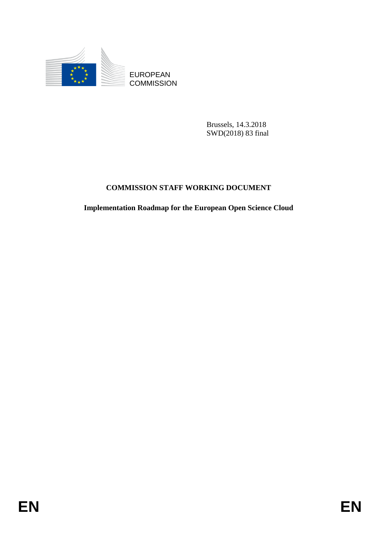

Brussels, 14.3.2018 SWD(2018) 83 final

# **COMMISSION STAFF WORKING DOCUMENT**

**Implementation Roadmap for the European Open Science Cloud**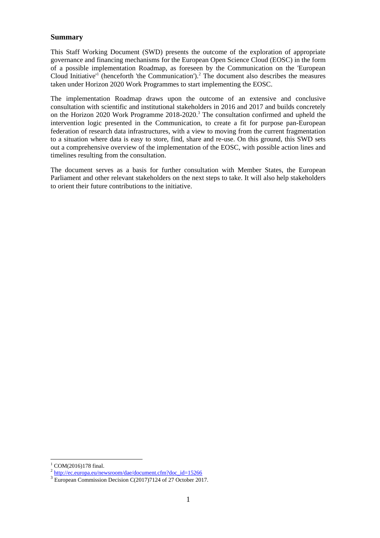## **Summary**

This Staff Working Document (SWD) presents the outcome of the exploration of appropriate governance and financing mechanisms for the European Open Science Cloud (EOSC) in the form of a possible implementation Roadmap, as foreseen by the Communication on the 'European Cloud Initiative<sup>11</sup> (henceforth 'the Communication').<sup>2</sup> The document also describes the measures taken under Horizon 2020 Work Programmes to start implementing the EOSC.

The implementation Roadmap draws upon the outcome of an extensive and conclusive consultation with scientific and institutional stakeholders in 2016 and 2017 and builds concretely on the Horizon 2020 Work Programme 2018-2020.<sup>3</sup> The consultation confirmed and upheld the intervention logic presented in the Communication, to create a fit for purpose pan-European federation of research data infrastructures, with a view to moving from the current fragmentation to a situation where data is easy to store, find, share and re-use. On this ground, this SWD sets out a comprehensive overview of the implementation of the EOSC, with possible action lines and timelines resulting from the consultation.

The document serves as a basis for further consultation with Member States, the European Parliament and other relevant stakeholders on the next steps to take. It will also help stakeholders to orient their future contributions to the initiative.

 $\overline{a}$  $1$  COM(2016)178 final.

<sup>&</sup>lt;sup>2</sup> [http://ec.europa.eu/newsroom/dae/document.cfm?doc\\_id=15266](http://ec.europa.eu/newsroom/dae/document.cfm?doc_id=15266)

<sup>&</sup>lt;sup>3</sup> European Commission Decision C(2017)7124 of 27 October 2017.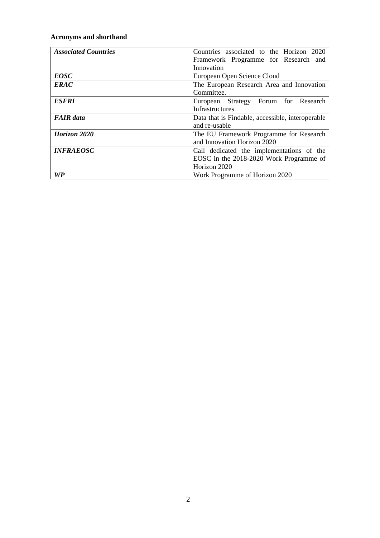## **Acronyms and shorthand**

| <b>Associated Countries</b> | Countries associated to the Horizon 2020         |  |  |  |
|-----------------------------|--------------------------------------------------|--|--|--|
|                             | Framework Programme for Research and             |  |  |  |
|                             | Innovation                                       |  |  |  |
| <b>EOSC</b>                 | European Open Science Cloud                      |  |  |  |
| <b>ERAC</b>                 | The European Research Area and Innovation        |  |  |  |
|                             | Committee.                                       |  |  |  |
| <b>ESFRI</b>                | European Strategy Forum for Research             |  |  |  |
|                             | Infrastructures                                  |  |  |  |
| <b>FAIR</b> data            | Data that is Findable, accessible, interoperable |  |  |  |
|                             | and re-usable                                    |  |  |  |
| Horizon 2020                | The EU Framework Programme for Research          |  |  |  |
|                             | and Innovation Horizon 2020                      |  |  |  |
| <b>INFRAEOSC</b>            | Call dedicated the implementations of the        |  |  |  |
|                             | EOSC in the 2018-2020 Work Programme of          |  |  |  |
|                             | Horizon 2020                                     |  |  |  |
| WP                          | Work Programme of Horizon 2020                   |  |  |  |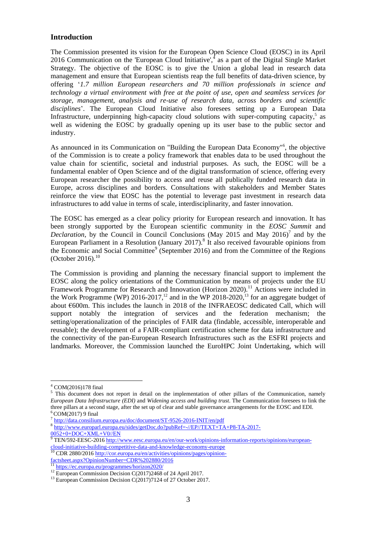### **Introduction**

The Commission presented its vision for the European Open Science Cloud (EOSC) in its April 2016 Communication on the 'European Cloud Initiative', $<sup>4</sup>$  as a part of the Digital Single Market</sup> Strategy. The objective of the EOSC is to give the Union a global lead in research data management and ensure that European scientists reap the full benefits of data-driven science, by offering '*1.7 million European researchers and 70 million professionals in science and technology a virtual environment with free at the point of use, open and seamless services for storage, management, analysis and re-use of research data, across borders and scientific disciplines*'. The European Cloud Initiative also foresees setting up a European Data Infrastructure, underpinning high-capacity cloud solutions with super-computing capacity,<sup>5</sup> as well as widening the EOSC by gradually opening up its user base to the public sector and industry.

As announced in its Communication on "Building the European Data Economy"<sup>6</sup> , the objective of the Commission is to create a policy framework that enables data to be used throughout the value chain for scientific, societal and industrial purposes. As such, the EOSC will be a fundamental enabler of Open Science and of the digital transformation of science, offering every European researcher the possibility to access and reuse all publically funded research data in Europe, across disciplines and borders. Consultations with stakeholders and Member States reinforce the view that EOSC has the potential to leverage past investment in research data infrastructures to add value in terms of scale, interdisciplinarity, and faster innovation.

The EOSC has emerged as a clear policy priority for European research and innovation. It has been strongly supported by the European scientific community in the *EOSC Summit* and *Declaration*, by the Council in Council Conclusions (May 2015 and May 2016)<sup>7</sup> and by the European Parliament in a Resolution (January 2017).<sup>8</sup> It also received favourable opinions from the Economic and Social Committee<sup>9</sup> (September 2016) and from the Committee of the Regions (October 2016). $^{10}$ 

The Commission is providing and planning the necessary financial support to implement the EOSC along the policy orientations of the Communication by means of projects under the EU Framework Programme for Research and Innovation (Horizon 2020).<sup>11</sup> Actions were included in the Work Programme (WP) 2016-2017,<sup>12</sup> and in the WP 2018-2020,<sup>13</sup> for an aggregate budget of about €600m. This includes the launch in 2018 of the INFRAEOSC dedicated Call, which will support notably the integration of services and the federation mechanism; the setting/operationalization of the principles of FAIR data (findable, accessible, interoperable and reusable); the development of a FAIR-compliant certification scheme for data infrastructure and the connectivity of the pan-European Research Infrastructures such as the ESFRI projects and landmarks. Moreover, the Commission launched the EuroHPC Joint Undertaking, which will

 $4$  COM(2016)178 final

<sup>&</sup>lt;sup>5</sup> This document does not report in detail on the implementation of other pillars of the Communication, namely *European Data Infrastructure (EDI)* and *Widening access and building trust*. The Communication foresees to link the three pillars at a second stage, after the set up of clear and stable governance arrangements for the EOSC and EDI.  $6$  COM(2017) 9 final

<sup>&</sup>lt;sup>7</sup> <http://data.consilium.europa.eu/doc/document/ST-9526-2016-INIT/en/pdf>

<sup>8</sup> [http://www.europarl.europa.eu/sides/getDoc.do?pubRef=-//EP//TEXT+TA+P8-TA-2017-](http://www.europarl.europa.eu/sides/getDoc.do?pubRef=-//EP//TEXT+TA+P8-TA-2017-0052+0+DOC+XML+V0//EN) [0052+0+DOC+XML+V0//EN](http://www.europarl.europa.eu/sides/getDoc.do?pubRef=-//EP//TEXT+TA+P8-TA-2017-0052+0+DOC+XML+V0//EN)

<sup>&</sup>lt;sup>9</sup> TEN/592-EESC-201[6 http://www.eesc.europa.eu/en/our-work/opinions-information-reports/opinions/european](http://www.eesc.europa.eu/en/our-work/opinions-information-reports/opinions/european-cloud-initiative-building-competitive-data-and-knowledge-economy-europe)[cloud-initiative-building-competitive-data-and-knowledge-economy-europe](http://www.eesc.europa.eu/en/our-work/opinions-information-reports/opinions/european-cloud-initiative-building-competitive-data-and-knowledge-economy-europe)<br><sup>10</sup> CDP 2890/2014 http://

<sup>10</sup> CDR 2880/2016 [http://cor.europa.eu/en/activities/opinions/pages/opinion](http://cor.europa.eu/en/activities/opinions/pages/opinion-factsheet.aspx?OpinionNumber=CDR%202880/2016)[factsheet.aspx?OpinionNumber=CDR%202880/2016](http://cor.europa.eu/en/activities/opinions/pages/opinion-factsheet.aspx?OpinionNumber=CDR%202880/2016)

<sup>&</sup>lt;sup>11</sup> <https://ec.europa.eu/programmes/horizon2020/>

<sup>&</sup>lt;sup>12</sup> European Commission Decision C(2017)2468 of 24 April 2017.

<sup>&</sup>lt;sup>13</sup> European Commission Decision C(2017)7124 of 27 October 2017.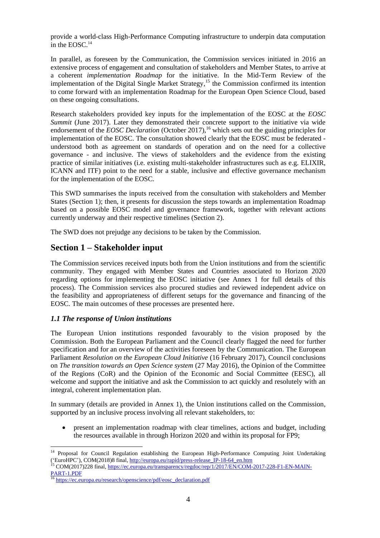provide a world-class High-Performance Computing infrastructure to underpin data computation in the EOSC. $14$ 

In parallel, as foreseen by the Communication, the Commission services initiated in 2016 an extensive process of engagement and consultation of stakeholders and Member States, to arrive at a coherent *implementation Roadmap* for the initiative. In the Mid-Term Review of the implementation of the Digital Single Market Strategy,<sup>15</sup> the Commission confirmed its intention to come forward with an implementation Roadmap for the European Open Science Cloud, based on these ongoing consultations.

Research stakeholders provided key inputs for the implementation of the EOSC at the *EOSC Summit* (June 2017). Later they demonstrated their concrete support to the initiative via wide endorsement of the *EOSC Declaration* (October 2017),<sup>16</sup> which sets out the guiding principles for implementation of the EOSC. The consultation showed clearly that the EOSC must be federated understood both as agreement on standards of operation and on the need for a collective governance - and inclusive. The views of stakeholders and the evidence from the existing practice of similar initiatives (i.e. existing multi-stakeholder infrastructures such as e.g. ELIXIR, ICANN and ITF) point to the need for a stable, inclusive and effective governance mechanism for the implementation of the EOSC.

This SWD summarises the inputs received from the consultation with stakeholders and Member States (Section 1); then, it presents for discussion the steps towards an implementation Roadmap based on a possible EOSC model and governance framework, together with relevant actions currently underway and their respective timelines (Section 2).

The SWD does not prejudge any decisions to be taken by the Commission.

## **Section 1 – Stakeholder input**

The Commission services received inputs both from the Union institutions and from the scientific community. They engaged with Member States and Countries associated to Horizon 2020 regarding options for implementing the EOSC initiative (see Annex 1 for full details of this process). The Commission services also procured studies and reviewed independent advice on the feasibility and appropriateness of different setups for the governance and financing of the EOSC. The main outcomes of these processes are presented here.

### *1.1 The response of Union institutions*

The European Union institutions responded favourably to the vision proposed by the Commission. Both the European Parliament and the Council clearly flagged the need for further specification and for an overview of the activities foreseen by the Communication. The European Parliament *Resolution on the European Cloud Initiative* (16 February 2017), Council conclusions on *The transition towards an Open Science system* (27 May 2016), the Opinion of the Committee of the Regions (CoR) and the Opinion of the Economic and Social Committee (EESC), all welcome and support the initiative and ask the Commission to act quickly and resolutely with an integral, coherent implementation plan.

In summary (details are provided in Annex 1), the Union institutions called on the Commission, supported by an inclusive process involving all relevant stakeholders, to:

 present an implementation roadmap with clear timelines, actions and budget, including the resources available in through Horizon 2020 and within its proposal for FP9;

 $\overline{a}$ <sup>14</sup> Proposal for Council Regulation establishing the European High-Performance Computing Joint Undertaking ('EuroHPC'), COM(2018)8 final, [http://europa.eu/rapid/press-release\\_IP-18-64\\_en.htm](http://europa.eu/rapid/press-release_IP-18-64_en.htm)

<sup>15</sup> COM(2017)228 final, [https://ec.europa.eu/transparency/regdoc/rep/1/2017/EN/COM-2017-228-F1-EN-MAIN-](https://ec.europa.eu/transparency/regdoc/rep/1/2017/EN/COM-2017-228-F1-EN-MAIN-PART-1.PDF)[PART-1.PDF](https://ec.europa.eu/transparency/regdoc/rep/1/2017/EN/COM-2017-228-F1-EN-MAIN-PART-1.PDF)

<sup>&</sup>lt;sup>16</sup> [https://ec.europa.eu/research/openscience/pdf/eosc\\_declaration.pdf](https://ec.europa.eu/research/openscience/pdf/eosc_declaration.pdf)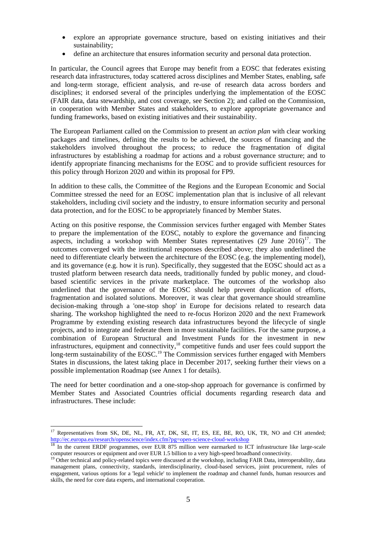- explore an appropriate governance structure, based on existing initiatives and their sustainability;
- define an architecture that ensures information security and personal data protection.

In particular, the Council agrees that Europe may benefit from a EOSC that federates existing research data infrastructures, today scattered across disciplines and Member States, enabling, safe and long-term storage, efficient analysis, and re-use of research data across borders and disciplines; it endorsed several of the principles underlying the implementation of the EOSC (FAIR data, data stewardship, and cost coverage, see Section 2); and called on the Commission, in cooperation with Member States and stakeholders, to explore appropriate governance and funding frameworks, based on existing initiatives and their sustainability.

The European Parliament called on the Commission to present an *action plan* with clear working packages and timelines, defining the results to be achieved, the sources of financing and the stakeholders involved throughout the process; to reduce the fragmentation of digital infrastructures by establishing a roadmap for actions and a robust governance structure; and to identify appropriate financing mechanisms for the EOSC and to provide sufficient resources for this policy through Horizon 2020 and within its proposal for FP9.

In addition to these calls, the Committee of the Regions and the European Economic and Social Committee stressed the need for an EOSC implementation plan that is inclusive of all relevant stakeholders, including civil society and the industry, to ensure information security and personal data protection, and for the EOSC to be appropriately financed by Member States.

Acting on this positive response, the Commission services further engaged with Member States to prepare the implementation of the EOSC, notably to explore the governance and financing aspects, including a workshop with Member States representatives  $(29$  June  $2016)^{17}$ . The outcomes converged with the institutional responses described above; they also underlined the need to differentiate clearly between the architecture of the EOSC (e.g. the implementing model), and its governance (e.g. how it is run). Specifically, they suggested that the EOSC should act as a trusted platform between research data needs, traditionally funded by public money, and cloudbased scientific services in the private marketplace. The outcomes of the workshop also underlined that the governance of the EOSC should help prevent duplication of efforts, fragmentation and isolated solutions. Moreover, it was clear that governance should streamline decision-making through a 'one-stop shop' in Europe for decisions related to research data sharing. The workshop highlighted the need to re-focus Horizon 2020 and the next Framework Programme by extending existing research data infrastructures beyond the lifecycle of single projects, and to integrate and federate them in more sustainable facilities. For the same purpose, a combination of European Structural and Investment Funds for the investment in new infrastructures, equipment and connectivity,<sup>18</sup> competitive funds and user fees could support the long-term sustainability of the EOSC.<sup>19</sup> The Commission services further engaged with Members States in discussions, the latest taking place in December 2017, seeking further their views on a possible implementation Roadmap (see Annex 1 for details).

The need for better coordination and a one-stop-shop approach for governance is confirmed by Member States and Associated Countries official documents regarding research data and infrastructures. These include:

 $\overline{a}$ <sup>17</sup> Representatives from SK, DE, NL, FR, AT, DK, SE, IT, ES, EE, BE, RO, UK, TR, NO and CH attended; <http://ec.europa.eu/research/openscience/index.cfm?pg=open-science-cloud-workshop>

In the current ERDF programmes, over EUR 875 million were earmarked to ICT infrastructure like large-scale computer resources or equipment and over EUR 1.5 billion to a very high-speed broadband connectivity.

<sup>&</sup>lt;sup>19</sup> Other technical and policy-related topics were discussed at the workshop, including FAIR Data, interoperability, data management plans, connectivity, standards, interdisciplinarity, cloud-based services, joint procurement, rules of engagement, various options for a 'legal vehicle' to implement the roadmap and channel funds, human resources and skills, the need for core data experts, and international cooperation.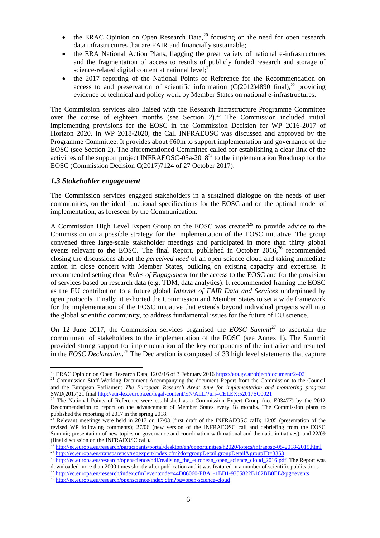- the ERAC Opinion on Open Research Data, $2<sup>0</sup>$  focusing on the need for open research data infrastructures that are FAIR and financially sustainable;
- the ERA National Action Plans, flagging the great variety of national e-infrastructures and the fragmentation of access to results of publicly funded research and storage of science-related digital content at national level; $^{21}$
- the 2017 reporting of the National Points of Reference for the Recommendation on access to and preservation of scientific information  $(C(2012)4890 \text{ final})$ ,<sup>22</sup> providing evidence of technical and policy work by Member States on national e-infrastructures.

The Commission services also liaised with the Research Infrastructure Programme Committee over the course of eighteen months (see Section  $2$ ).<sup>23</sup> The Commission included initial implementing provisions for the EOSC in the Commission Decision for WP 2016-2017 of Horizon 2020. In WP 2018-2020, the Call INFRAEOSC was discussed and approved by the Programme Committee. It provides about  $60m$  to support implementation and governance of the EOSC (see Section 2). The aforementioned Committee called for establishing a clear link of the activities of the support project INFRAEOSC-05a-2018<sup>24</sup> to the implementation Roadmap for the EOSC (Commission Decision C(2017)7124 of 27 October 2017).

#### *1.3 Stakeholder engagement*

 $\overline{a}$ 

The Commission services engaged stakeholders in a sustained dialogue on the needs of user communities, on the ideal functional specifications for the EOSC and on the optimal model of implementation, as foreseen by the Communication.

A Commission High Level Expert Group on the EOSC was created<sup>25</sup> to provide advice to the Commission on a possible strategy for the implementation of the EOSC initiative. The group convened three large-scale stakeholder meetings and participated in more than thirty global events relevant to the EOSC. The final Report, published in October 2016,<sup>26</sup> recommended closing the discussions about the *perceived need* of an open science cloud and taking immediate action in close concert with Member States, building on existing capacity and expertise. It recommended setting clear *Rules of Engagement* for the access to the EOSC and for the provision of services based on research data (e.g. TDM, data analytics). It recommended framing the EOSC as the EU contribution to a future global *Internet of FAIR Data and Services* underpinned by open protocols. Finally, it exhorted the Commission and Member States to set a wide framework for the implementation of the EOSC initiative that extends beyond individual projects well into the global scientific community, to address fundamental issues for the future of EU science.

On 12 June 2017, the Commission services organised the *EOSC Summit*<sup>27</sup> to ascertain the commitment of stakeholders to the implementation of the EOSC (see Annex 1). The Summit provided strong support for implementation of the key components of the initiative and resulted in the *EOSC Declaration*.<sup>28</sup> The Declaration is composed of 33 high level statements that capture

<sup>&</sup>lt;sup>20</sup> ERAC Opinion on Open Research Data, 1202/16 of 3 February 201[6 https://era.gv.at/object/document/2402](https://era.gv.at/object/document/2402)

<sup>&</sup>lt;sup>21</sup> Commission Staff Working Document Accompanying the document Report from the Commission to the Council and the European Parliament *The European Research Area: time for implementation and monitoring progress* SWD(2017)21 fina[l http://eur-lex.europa.eu/legal-content/EN/ALL/?uri=CELEX:52017SC0021](http://eur-lex.europa.eu/legal-content/EN/ALL/?uri=CELEX:52017SC0021)

<sup>&</sup>lt;sup>22</sup> The National Points of Reference were established as a Commission Expert Group (no. E03477) by the 2012 Recommendation to report on the advancement of Member States every 18 months. The Commission plans to published the reporting of 2017 in the spring 2018.

Relevant meetings were held in 2017 on 17/03 (first draft of the INFRAEOSC call); 12/05 (presentation of the revised WP following comments); 27/06 (new version of the INFRAEOSC call and debriefing from the EOSC Summit; presentation of new topics on governance and coordination with national and thematic initiatives); and 22/09 (final discussion on the INFRAEOSC call).

<sup>24</sup> <http://ec.europa.eu/research/participants/portal/desktop/en/opportunities/h2020/topics/infraeosc-05-2018-2019.html>

<sup>&</sup>lt;sup>25</sup> <http://ec.europa.eu/transparency/regexpert/index.cfm?do=groupDetail.groupDetail&groupID=3353> <sup>26</sup> [http://ec.europa.eu/research/openscience/pdf/realising\\_the\\_european\\_open\\_science\\_cloud\\_2016.pdf.](http://ec.europa.eu/research/openscience/pdf/realising_the_european_open_science_cloud_2016.pdf) The Report was

downloaded more than 2000 times shortly after publication and it was featured in a number of scientific publications. <sup>27</sup> <http://ec.europa.eu/research/index.cfm?eventcode=44D86060-FBA1-1BD1-9355822B162BB0EE&pg=events>

<sup>&</sup>lt;sup>28</sup> <http://ec.europa.eu/research/openscience/index.cfm?pg=open-science-cloud>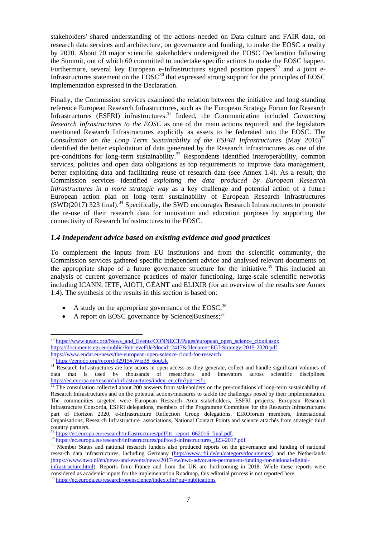stakeholders' shared understanding of the actions needed on Data culture and FAIR data, on research data services and architecture, on governance and funding, to make the EOSC a reality by 2020. About 70 major scientific stakeholders undersigned the EOSC Declaration following the Summit, out of which 60 committed to undertake specific actions to make the EOSC happen. Furthermore, several key European e-Infrastructures signed position papers<sup>29</sup> and a joint e-Infrastructures statement on the  $\text{EOSC}^{30}$  that expressed strong support for the principles of EOSC implementation expressed in the Declaration.

Finally, the Commission services examined the relation between the initiative and long-standing reference European Research Infrastructures, such as the European Strategy Forum for Research Infrastructures (ESFRI) infrastructures.<sup>31</sup> Indeed, the Communication included *Connecting Research Infrastructures to the EOSC* as one of the main actions required, and the legislators mentioned Research Infrastructures explicitly as assets to be federated into the EOSC. The *Consultation on the Long Term Sustainability of the ESFRI Infrastructures* (May  $2016$ <sup>32</sup> identified the better exploitation of data generated by the Research Infrastructures as one of the pre-conditions for long-term sustainability.<sup>33</sup> Respondents identified interoperability, common services, policies and open data obligations as top requirements to improve data management, better exploiting data and facilitating reuse of research data (see Annex 1.4). As a result, the Commission services identified *exploiting the data produced by European Research Infrastructures in a more strategic way* as a key challenge and potential action of a future European action plan on long term sustainability of European Research Infrastructures  $(SWD(2017)$  323 final).<sup>34</sup> Specifically, the SWD encourages Research Infrastructures to promote the re-use of their research data for innovation and education purposes by supporting the connectivity of Research Infrastructures to the EOSC.

#### *1.4 Independent advice based on existing evidence and good practices*

To complement the inputs from EU institutions and from the scientific community, the Commission services gathered specific independent advice and analysed relevant documents on the appropriate shape of a future governance structure for the initiative.<sup>35</sup> This included an analysis of current governance practices of major functioning, large-scale scientific networks including ICANN, IETF, AIOTI, GÉANT and ELIXIR (for an overview of the results see Annex 1.4). The synthesis of the results in this section is based on:

- A study on the appropriate governance of the  $EOSC;^{36}$
- A report on EOSC governance by Science Business;<sup>37</sup>

<sup>&</sup>lt;sup>29</sup> [https://www.geant.org/News\\_and\\_Events/CONNECT/Pages/european\\_open\\_science\\_cloud.aspx](https://www.geant.org/News_and_Events/CONNECT/Pages/european_open_science_cloud.aspx) <https://documents.egi.eu/public/RetrieveFile?docid=2417&filename=EGI-Strategy-2015-2020.pdf> <https://www.eudat.eu/news/the-european-open-science-cloud-for-research><br>30 https://www.eudat.eu/news/the-european-open-science-cloud-for-research

[https://zenodo.org/record/32915#.Wjz38\\_6ouUk](https://zenodo.org/record/32915#.Wjz38_6ouUk)

<sup>&</sup>lt;sup>31</sup> Research Infrastructures are key actors in open access as they generate, collect and handle significant volumes of data that is used by thousands of researchers and innovators across scientific disciplines. [https://ec.europa.eu/research/infrastructures/index\\_en.cfm?pg=esfri](https://ec.europa.eu/research/infrastructures/index_en.cfm?pg=esfri)

 $32$  The consultation collected about 200 answers from stakeholders on the pre-conditions of long-term sustainability of Research Infrastructures and on the potential actions/measures to tackle the challenges posed by their implementation. The communities targeted were European Research Area stakeholders, ESFRI projects, European Research Infrastructure Consortia, ESFRI delegations, members of the Programme Committee for the Research Infrastructures part of Horizon 2020, e-Infrastructure Reflection Group delegations, EIROforum members, International Organisations, Research Infrastructure associations, National Contact Points and science attachés from strategic third country partners.

<sup>&</sup>lt;sup>33</sup>[https://ec.europa.eu/research/infrastructures/pdf/lts\\_report\\_062016\\_final.pdf.](https://ec.europa.eu/research/infrastructures/pdf/lts_report_062016_final.pdf)

<sup>&</sup>lt;sup>34</sup> [https://ec.europa.eu/research/infrastructures/pdf/swd-infrastructures\\_323-2017.pdf](https://ec.europa.eu/research/infrastructures/pdf/swd-infrastructures_323-2017.pdf)

<sup>&</sup>lt;sup>35</sup> Member States and national research funders also produced reports on the governance and funding of national research data infrastructures, including Germany [\(http://www.rfii.de/en/category/documents/\)](http://www.rfii.de/en/category/documents/) and the Netherlands [\(https://www.nwo.nl/en/news-and-events/news/2017/ew/nwo-advocates-permanent-funding-for-national-digital-](https://www.nwo.nl/en/news-and-events/news/2017/ew/nwo-advocates-permanent-funding-for-national-digital-infrastructure.html)

[infrastructure.html\)](https://www.nwo.nl/en/news-and-events/news/2017/ew/nwo-advocates-permanent-funding-for-national-digital-infrastructure.html). Reports from France and from the UK are forthcoming in 2018. While these reports were considered as academic inputs for the implementation Roadmap, this editorial process is not reported here. <sup>36</sup> <https://ec.europa.eu/research/openscience/index.cfm?pg=publications>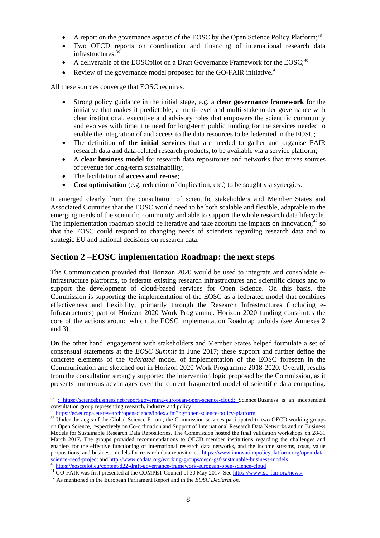- A report on the governance aspects of the EOSC by the Open Science Policy Platform;<sup>38</sup>
- Two OECD reports on coordination and financing of international research data infrastructures; 39
- A deliverable of the EOSCpilot on a Draft Governance Framework for the EOSC;<sup>40</sup>
- Review of the governance model proposed for the GO-FAIR initiative.<sup>41</sup>

All these sources converge that EOSC requires:

- Strong policy guidance in the initial stage, e.g. a **clear governance framework** for the initiative that makes it predictable; a multi-level and multi-stakeholder governance with clear institutional, executive and advisory roles that empowers the scientific community and evolves with time; the need for long-term public funding for the services needed to enable the integration of and access to the data resources to be federated in the EOSC;
- The definition of **the initial services** that are needed to gather and organise FAIR research data and data-related research products, to be available via a service platform;
- A **clear business model** for research data repositories and networks that mixes sources of revenue for long-term sustainability;
- The facilitation of **access and re-use**;
- **Cost optimisation** (e.g. reduction of duplication, etc.) to be sought via synergies.

It emerged clearly from the consultation of scientific stakeholders and Member States and Associated Countries that the EOSC would need to be both scalable and flexible, adaptable to the emerging needs of the scientific community and able to support the whole research data lifecycle. The implementation roadmap should be iterative and take account the impacts on innovation;<sup>42</sup> so that the EOSC could respond to changing needs of scientists regarding research data and to strategic EU and national decisions on research data.

## **Section 2 –EOSC implementation Roadmap: the next steps**

The Communication provided that Horizon 2020 would be used to integrate and consolidate einfrastructure platforms, to federate existing research infrastructures and scientific clouds and to support the development of cloud-based services for Open Science. On this basis, the Commission is supporting the implementation of the EOSC as a federated model that combines effectiveness and flexibility, primarily through the Research Infrastructures (including e-Infrastructures) part of Horizon 2020 Work Programme. Horizon 2020 funding constitutes the core of the actions around which the EOSC implementation Roadmap unfolds (see Annexes 2 and 3).

On the other hand, engagement with stakeholders and Member States helped formulate a set of consensual statements at the *EOSC Summit* in June 2017; these support and further define the concrete elements of the *federated* model of implementation of the EOSC foreseen in the Communication and sketched out in Horizon 2020 Work Programme 2018-2020. Overall, results from the consultation strongly supported the intervention logic proposed by the Commission, as it presents numerous advantages over the current fragmented model of scientific data computing.

1

<sup>37</sup> ; https://sciencebusiness.net/report/governing-european-open-science-cloud; Science|Business is an independent consultation group representing research, industry and policy

<sup>38</sup> <https://ec.europa.eu/research/openscience/index.cfm?pg=open-science-policy-platform>

<sup>&</sup>lt;sup>39</sup> Under the aegis of the Global Science Forum, the Commission services participated to two OECD working groups on Open Science, respectively on Co-ordination and Support of International Research Data Networks and on Business Models for Sustainable Research Data Repositories. The Commission hosted the final validation workshops on 28-31 March 2017. The groups provided recommendations to OECD member institutions regarding the challenges and enablers for the effective functioning of international research data networks, and the income streams, costs, value propositions, and business models for research data repositories. [https://www.innovationpolicyplatform.org/open-data](https://www.innovationpolicyplatform.org/open-data-science-oecd-project)[science-oecd-project](https://www.innovationpolicyplatform.org/open-data-science-oecd-project) and http://www.codata.org/working-groups/oecd-gsf-sustainable-business-models <https://eoscpilot.eu/content/d22-draft-governance-framework-european-open-science-cloud>

<sup>41</sup> GO-FAIR was first presented at the COMPET Council of 30 May 2017. See https://www.go-fair.org/news/

<sup>42</sup> As mentioned in the European Parliament Report and in the *EOSC Declaration.*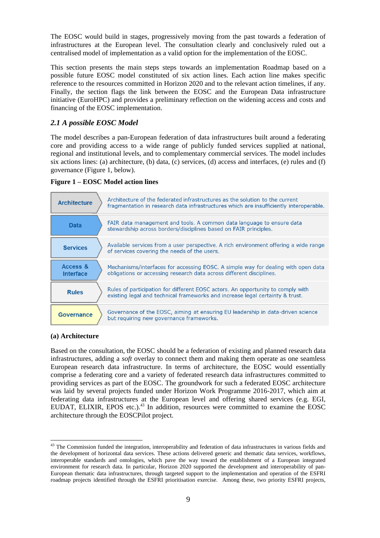The EOSC would build in stages, progressively moving from the past towards a federation of infrastructures at the European level. The consultation clearly and conclusively ruled out a centralised model of implementation as a valid option for the implementation of the EOSC.

This section presents the main steps steps towards an implementation Roadmap based on a possible future EOSC model constituted of six action lines. Each action line makes specific reference to the resources committed in Horizon 2020 and to the relevant action timelines, if any. Finally, the section flags the link between the EOSC and the European Data infrastructure initiative (EuroHPC) and provides a preliminary reflection on the widening access and costs and financing of the EOSC implementation.

## *2.1 A possible EOSC Model*

The model describes a pan-European federation of data infrastructures built around a federating core and providing access to a wide range of publicly funded services supplied at national, regional and institutional levels, and to complementary commercial services. The model includes six actions lines: (a) architecture, (b) data, (c) services, (d) access and interfaces, (e) rules and (f) governance (Figure 1, below).

#### **Figure 1 – EOSC Model action lines**



#### **(a) Architecture**

 $\overline{a}$ 

Based on the consultation, the EOSC should be a federation of existing and planned research data infrastructures, adding a *soft* overlay to connect them and making them operate as one seamless European research data infrastructure. In terms of architecture, the EOSC would essentially comprise a federating core and a variety of federated research data infrastructures committed to providing services as part of the EOSC. The groundwork for such a federated EOSC architecture was laid by several projects funded under Horizon Work Programme 2016-2017, which aim at federating data infrastructures at the European level and offering shared services (e.g. EGI, EUDAT, ELIXIR, EPOS etc.).<sup>43</sup> In addition, resources were committed to examine the EOSC architecture through the EOSCPilot project.

 $43$  The Commission funded the integration, interoperability and federation of data infrastructures in various fields and the development of horizontal data services. These actions delivered generic and thematic data services, workflows, interoperable standards and ontologies, which pave the way toward the establishment of a European integrated environment for research data. In particular, Horizon 2020 supported the development and interoperability of pan-European thematic data infrastructures, through targeted support to the implementation and operation of the ESFRI roadmap projects identified through the ESFRI prioritisation exercise. Among these, two priority ESFRI projects,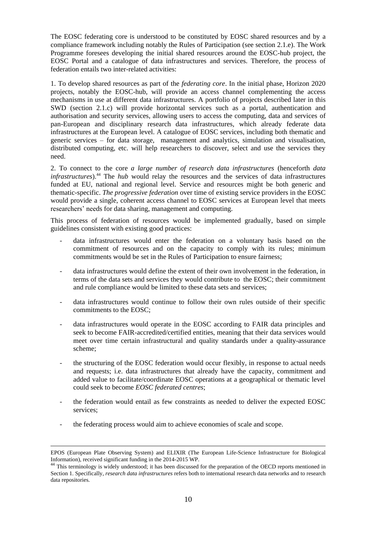The EOSC federating core is understood to be constituted by EOSC shared resources and by a compliance framework including notably the Rules of Participation (see section 2.1.e). The Work Programme foresees developing the initial shared resources around the EOSC-hub project, the EOSC Portal and a catalogue of data infrastructures and services. Therefore, the process of federation entails two inter-related activities:

1. To develop shared resources as part of the *federating core*. In the initial phase, Horizon 2020 projects, notably the EOSC-hub, will provide an access channel complementing the access mechanisms in use at different data infrastructures. A portfolio of projects described later in this SWD (section 2.1.c) will provide horizontal services such as a portal, authentication and authorisation and security services, allowing users to access the computing, data and services of pan-European and disciplinary research data infrastructures, which already federate data infrastructures at the European level. A catalogue of EOSC services, including both thematic and generic services – for data storage, management and analytics, simulation and visualisation, distributed computing, etc. will help researchers to discover, select and use the services they need.

2. To connect to the core *a large number of research data infrastructures* (henceforth *data infrastructures*). <sup>44</sup> The *hub* would relay the resources and the services of data infrastructures funded at EU, national and regional level. Service and resources might be both generic and thematic-specific. *The progressive federation* over time of existing service providers in the EOSC would provide a single, coherent access channel to EOSC services at European level that meets researchers' needs for data sharing, management and computing.

This process of federation of resources would be implemented gradually, based on simple guidelines consistent with existing good practices:

- data infrastructures would enter the federation on a voluntary basis based on the commitment of resources and on the capacity to comply with its rules; minimum commitments would be set in the Rules of Participation to ensure fairness;
- data infrastructures would define the extent of their own involvement in the federation, in terms of the data sets and services they would contribute to the EOSC; their commitment and rule compliance would be limited to these data sets and services;
- data infrastructures would continue to follow their own rules outside of their specific commitments to the EOSC;
- data infrastructures would operate in the EOSC according to FAIR data principles and seek to become FAIR-accredited/certified entities, meaning that their data services would meet over time certain infrastructural and quality standards under a quality-assurance scheme;
- the structuring of the EOSC federation would occur flexibly, in response to actual needs and requests; i.e. data infrastructures that already have the capacity, commitment and added value to facilitate/coordinate EOSC operations at a geographical or thematic level could seek to become *EOSC federated centres*;
- the federation would entail as few constraints as needed to deliver the expected EOSC services;
- the federating process would aim to achieve economies of scale and scope.

**.** 

EPOS (European Plate Observing System) and ELIXIR (The European Life-Science Infrastructure for Biological Information), received significant funding in the 2014-2015 WP.

<sup>&</sup>lt;sup>44</sup> This terminology is widely understood; it has been discussed for the preparation of the OECD reports mentioned in Section 1. Specifically, *research data infrastructures* refers both to international research data networks and to research data repositories.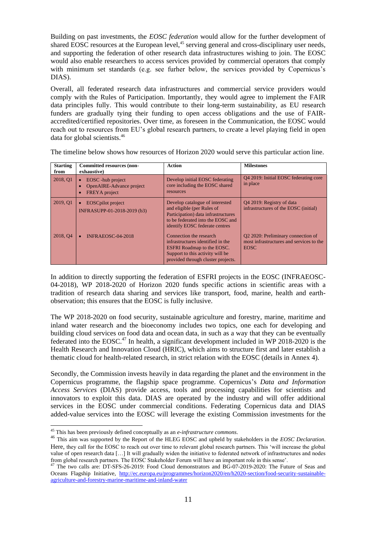Building on past investments, the *EOSC federation* would allow for the further development of shared EOSC resources at the European level,<sup>45</sup> serving general and cross-disciplinary user needs, and supporting the federation of other research data infrastructures wishing to join. The EOSC would also enable researchers to access services provided by commercial operators that comply with minimum set standards (e.g. see furher below, the services provided by Copernicus's DIAS).

Overall, all federated research data infrastructures and commercial service providers would comply with the Rules of Participation. Importantly, they would agree to implement the FAIR data principles fully. This would contribute to their long-term sustainability, as EU research funders are gradually tying their funding to open access obligations and the use of FAIRaccredited/certified repositories. Over time, as foreseen in the Communication, the EOSC would reach out to resources from EU's global research partners, to create a level playing field in open data for global scientists. 46

| <b>Starting</b><br>from | <b>Committed resources (non-</b><br>exhaustive)                        | Action                                                                                                                                                                      | <b>Milestones</b>                                                                             |
|-------------------------|------------------------------------------------------------------------|-----------------------------------------------------------------------------------------------------------------------------------------------------------------------------|-----------------------------------------------------------------------------------------------|
| 2018, Q1                | EOSC - hub project<br>OpenAIRE-Advance project<br><b>FREYA</b> project | Develop initial EOSC federating<br>core including the EOSC shared<br>resources                                                                                              | 04 2019: Initial EOSC federating core<br>in place                                             |
| 2019, Q1                | <b>EOSCpilot</b> project<br>INFRASUPP-01-2018-2019 (b3)                | Develop catalogue of interested<br>and eligible (per Rules of<br>Participation) data infrastructures<br>to be federated into the EOSC and<br>identify EOSC federate centres | O <sub>4</sub> 2019: Registry of data<br>infrastructures of the EOSC (initial)                |
| 2018, Q4                | INFRAEOSC-04-2018                                                      | Connection the research<br>infrastructures identified in the<br><b>ESFRI</b> Roadmap to the EOSC.<br>Support to this activity will be<br>provided through cluster projects. | Q2 2020: Preliminary connection of<br>most infrastructures and services to the<br><b>EOSC</b> |

The timeline below shows how resources of Horizon 2020 would serve this particular action line.

In addition to directly supporting the federation of ESFRI projects in the EOSC (INFRAEOSC-04-2018), WP 2018-2020 of Horizon 2020 funds specific actions in scientific areas with a tradition of research data sharing and services like transport, food, marine, health and earthobservation; this ensures that the EOSC is fully inclusive.

The WP 2018-2020 on food security, sustainable agriculture and forestry, marine, maritime and inland water research and the bioeconomy includes two topics, one each for developing and building cloud services on food data and ocean data, in such as a way that they can be eventually federated into the EOSC.<sup>47</sup> In health, a significant development included in WP 2018-2020 is the Health Research and Innovation Cloud (HRIC), which aims to structure first and later establish a thematic cloud for health-related research, in strict relation with the EOSC (details in Annex 4).

Secondly, the Commission invests heavily in data regarding the planet and the environment in the Copernicus programme, the flagship space programme. Copernicus's *Data and Information Access Services* (DIAS) provide access, tools and processing capabilities for scientists and innovators to exploit this data. DIAS are operated by the industry and will offer additional services in the EOSC under commercial conditions. Federating Copernicus data and DIAS added-value services into the EOSC will leverage the existing Commission investments for the

<sup>45</sup> This has been previously defined conceptually as an *e-infrastructure commons*.

<sup>46</sup> This aim was supported by the Report of the HLEG EOSC and upheld by stakeholders in the *EOSC Declaration*. Here, they call for the EOSC to reach out over time to relevant global research partners. This 'will increase the global value of open research data […] It will gradually widen the initiative to federated network of infrastructures and nodes from global research partners. The EOSC Stakeholder Forum will have an important role in this sense'.

<sup>&</sup>lt;sup>47</sup> The two calls are: DT-SFS-26-2019: Food Cloud demonstrators and BG-07-2019-2020: The Future of Seas and Oceans Flagship Initiative, [http://ec.europa.eu/programmes/horizon2020/en/h2020-section/food-security-sustainable](http://ec.europa.eu/programmes/horizon2020/en/h2020-section/food-security-sustainable-agriculture-and-forestry-marine-maritime-and-inland-water)[agriculture-and-forestry-marine-maritime-and-inland-water](http://ec.europa.eu/programmes/horizon2020/en/h2020-section/food-security-sustainable-agriculture-and-forestry-marine-maritime-and-inland-water)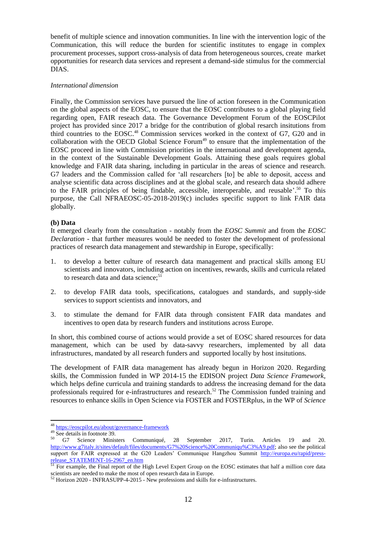benefit of multiple science and innovation communities. In line with the intervention logic of the Communication, this will reduce the burden for scientific institutes to engage in complex procurement processes, support cross-analysis of data from heterogeneous sources, create market opportunities for research data services and represent a demand-side stimulus for the commercial DIAS.

#### *International dimension*

Finally, the Commission services have pursued the line of action foreseen in the Communication on the global aspects of the EOSC, to ensure that the EOSC contributes to a global playing field regarding open, FAIR reseach data. The Governance Development Forum of the EOSCPilot project has provided since 2017 a bridge for the contribution of global resarch insitutions from third countries to the EOSC. <sup>48</sup> Commission services worked in the context of G7, G20 and in collaboration with the OECD Global Science Forum<sup>49</sup> to ensure that the implementation of the EOSC proceed in line with Commission priorities in the international and development agenda, in the context of the Sustainable Development Goals. Attaining these goals requires global knowledge and FAIR data sharing, including in particular in the areas of science and research. G7 leaders and the Commission called for 'all researchers [to] be able to deposit, access and analyse scientific data across disciplines and at the global scale, and research data should adhere to the FAIR principles of being findable, accessible, interoperable, and reusable'.<sup>50</sup> To this purpose, the Call NFRAEOSC-05-2018-2019(c) includes specific support to link FAIR data globally.

#### **(b) Data**

It emerged clearly from the consultation - notably from the *EOSC Summit* and from the *EOSC Declaration* - that further measures would be needed to foster the development of professional practices of research data management and stewardship in Europe, specifically:

- 1. to develop a better culture of research data management and practical skills among EU scientists and innovators, including action on incentives, rewards, skills and curricula related to research data and data science: $5\overline{1}$
- 2. to develop FAIR data tools, specifications, catalogues and standards, and supply-side services to support scientists and innovators, and
- 3. to stimulate the demand for FAIR data through consistent FAIR data mandates and incentives to open data by research funders and institutions across Europe.

In short, this combined course of actions would provide a set of EOSC shared resources for data management, which can be used by data-savvy researchers, implemented by all data infrastructures, mandated by all research funders and supported locally by host insitutions.

The development of FAIR data management has already begun in Horizon 2020. Regarding skills, the Commission funded in WP 2014-15 the EDISON project *Data Science Framework*, which helps define curricula and training standards to address the increasing demand for the data professionals required for e-infrastructures and research.<sup>52</sup> The Commission funded training and resources to enhance skills in Open Science via FOSTER and FOSTERplus, in the WP of *Science* 

<sup>&</sup>lt;sup>48</sup> <https://eoscpilot.eu/about/governance-framework>

 $49 \overline{\text{See details in footnote 39}}$ .

<sup>&</sup>lt;sup>50</sup> G7 Science Ministers Communiqué, 28 September 2017, Turin. Articles 19 and 20. [http://www.g7italy.it/sites/default/files/documents/G7%20Science%20Communiqu%C3%A9.pdf;](http://www.g7italy.it/sites/default/files/documents/G7%20Science%20Communiqu%C3%A9.pdf) also see the political support for FAIR expressed at the G20 Leaders' Communique Hangzhou Summit [http://europa.eu/rapid/press](http://europa.eu/rapid/press-release_STATEMENT-16-2967_en.htm)[release\\_STATEMENT-16-2967\\_en.htm](http://europa.eu/rapid/press-release_STATEMENT-16-2967_en.htm)

 $51$  For example, the Final report of the High Level Expert Group on the EOSC estimates that half a million core data scientists are needed to make the most of open research data in Europe.

 $52$  Horizon 2020 - INFRASUPP-4-2015 - New professions and skills for e-infrastructures.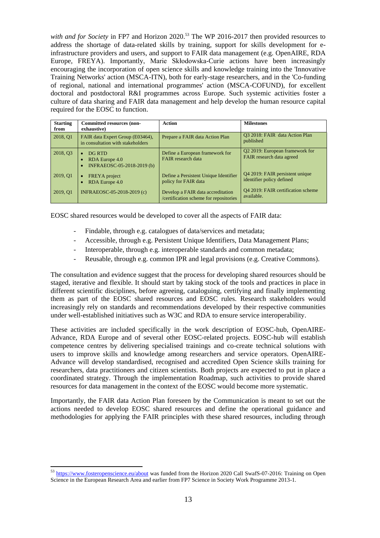with and for Society in FP7 and Horizon 2020.<sup>53</sup> The WP 2016-2017 then provided resources to address the shortage of data-related skills by training, support for skills development for einfrastructure providers and users, and support to FAIR data management (e.g. OpenAIRE, RDA Europe, FREYA). Importantly, Marie Skłodowska-Curie actions have been increasingly encouraging the incorporation of open science skills and knowledge training into the 'Innovative Training Networks' action (MSCA-ITN), both for early-stage researchers, and in the 'Co-funding of regional, national and international programmes' action (MSCA-COFUND), for excellent doctoral and postdoctoral R&I programmes across Europe. Such systemic activities foster a culture of data sharing and FAIR data management and help develop the human resource capital required for the EOSC to function.

| <b>Starting</b><br>from | <b>Committed resources (non-</b><br>exhaustive)                       | Action                                                                      | <b>Milestones</b>                                            |
|-------------------------|-----------------------------------------------------------------------|-----------------------------------------------------------------------------|--------------------------------------------------------------|
| 2018, Q1                | FAIR data Expert Group (E03464),<br>in consultation with stakeholders | Prepare a FAIR data Action Plan                                             | 03 2018: FAIR data Action Plan<br>published                  |
| 2018, Q3                | DG RTD<br>$\bullet$<br>RDA Europe 4.0<br>INFRAEOSC-05-2018-2019 (b)   | Define a European framework for<br><b>FAIR</b> research data                | Q2 2019: European framework for<br>FAIR research data agreed |
| 2019, Q1                | FREYA project<br>RDA Europe 4.0                                       | Define a Persistent Unique Identifier<br>policy for FAIR data               | Q4 2019: FAIR persistent unique<br>identifier policy defined |
| 2019, Q1                | INFRAEOSC-05-2018-2019 (c)                                            | Develop a FAIR data accreditation<br>/certification scheme for repositories | 04 2019: FAIR certification scheme<br>available.             |

EOSC shared resources would be developed to cover all the aspects of FAIR data:

- Findable, through e.g. catalogues of data/services and metadata;
- Accessible, through e.g. Persistent Unique Identifiers, Data Management Plans;
- Interoperable, through e.g. interoperable standards and common metadata;
- Reusable, through e.g. common IPR and legal provisions (e.g. Creative Commons).

The consultation and evidence suggest that the process for developing shared resources should be staged, iterative and flexible. It should start by taking stock of the tools and practices in place in different scientific disciplines, before agreeing, cataloguing, certifying and finally implementing them as part of the EOSC shared resources and EOSC rules. Research stakeholders would increasingly rely on standards and recommendations developed by their respective communities under well-established initiatives such as W3C and RDA to ensure service interoperability.

These activities are included specifically in the work description of EOSC-hub, OpenAIRE-Advance, RDA Europe and of several other EOSC-related projects. EOSC-hub will establish competence centres by delivering specialised trainings and co-create technical solutions with users to improve skills and knowledge among researchers and service operators. OpenAIRE-Advance will develop standardised, recognised and accredited Open Science skills training for researchers, data practitioners and citizen scientists. Both projects are expected to put in place a coordinated strategy. Through the implementation Roadmap, such activities to provide shared resources for data management in the context of the EOSC would become more systematic.

Importantly, the FAIR data Action Plan foreseen by the Communication is meant to set out the actions needed to develop EOSC shared resources and define the operational guidance and methodologies for applying the FAIR principles with these shared resources, including through

<sup>&</sup>lt;sup>53</sup> <https://www.fosteropenscience.eu/about> was funded from the Horizon 2020 Call SwafS-07-2016: Training on Open Science in the European Research Area and earlier from FP7 Science in Society Work Programme 2013-1.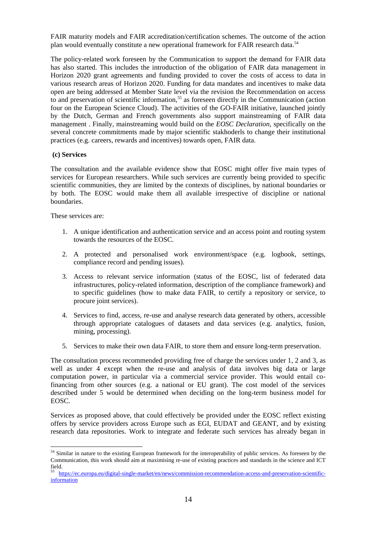FAIR maturity models and FAIR accreditation/certification schemes. The outcome of the action plan would eventually constitute a new operational framework for FAIR research data.<sup>54</sup>

The policy-related work foreseen by the Communication to support the demand for FAIR data has also started. This includes the introduction of the obligation of FAIR data management in Horizon 2020 grant agreements and funding provided to cover the costs of access to data in various research areas of Horizon 2020. Funding for data mandates and incentives to make data open are being addressed at Member State level via the revision the Recommendation on access to and preservation of scientific information,<sup>55</sup> as foreseen directly in the Communication (action four on the European Science Cloud). The activities of the GO-FAIR initiative, launched jointly by the Dutch, German and French governments also support mainstreaming of FAIR data management . Finally, mainstreaming would build on the *EOSC Declaration*, specifically on the several concrete commitments made by major scientific stakhoderls to change their institutional practices (e.g. careers, rewards and incentives) towards open, FAIR data.

#### **(c) Services**

The consultation and the available evidence show that EOSC might offer five main types of services for European researchers. While such services are currently being provided to specific scientific communities, they are limited by the contexts of disciplines, by national boundaries or by both. The EOSC would make them all available irrespective of discipline or national boundaries.

These services are:

- 1. A unique identification and authentication service and an access point and routing system towards the resources of the EOSC.
- 2. A protected and personalised work environment/space (e.g. logbook, settings, compliance record and pending issues).
- 3. Access to relevant service information (status of the EOSC, list of federated data infrastructures, policy-related information, description of the compliance framework) and to specific guidelines (how to make data FAIR, to certify a repository or service, to procure joint services).
- 4. Services to find, access, re-use and analyse research data generated by others, accessible through appropriate catalogues of datasets and data services (e.g. analytics, fusion, mining, processing).
- 5. Services to make their own data FAIR, to store them and ensure long-term preservation.

The consultation process recommended providing free of charge the services under 1, 2 and 3, as well as under 4 except when the re-use and analysis of data involves big data or large computation power, in particular via a commercial service provider. This would entail cofinancing from other sources (e.g. a national or EU grant). The cost model of the services described under 5 would be determined when deciding on the long-term business model for EOSC.

Services as proposed above, that could effectively be provided under the EOSC reflect existing offers by service providers across Europe such as EGI, EUDAT and GEANT, and by existing research data repositories. Work to integrate and federate such services has already began in

 $\overline{a}$ <sup>54</sup> Similar in nature to the existing European framework for the interoperability of public services. As foreseen by the Communication, this work should aim at maximising re-use of existing practices and standards in the science and ICT field.

<sup>55</sup> [https://ec.europa.eu/digital-single-market/en/news/commission-recommendation-access-and-preservation-scientific](https://ec.europa.eu/digital-single-market/en/news/commission-recommendation-access-and-preservation-scientific-information)[information](https://ec.europa.eu/digital-single-market/en/news/commission-recommendation-access-and-preservation-scientific-information)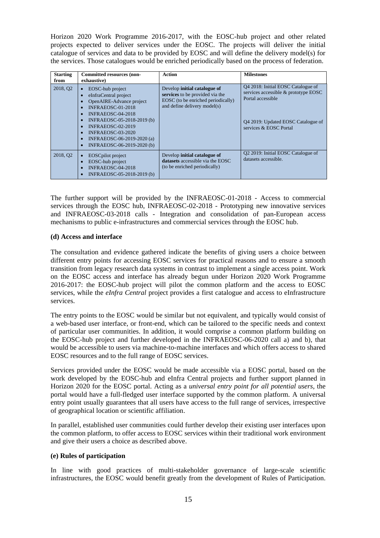Horizon 2020 Work Programme 2016-2017, with the EOSC-hub project and other related projects expected to deliver services under the EOSC. The projects will deliver the initial catalogue of services and data to be provided by EOSC and will define the delivery model(s) for the services. Those catalogues would be enriched periodically based on the process of federation.

| <b>Starting</b>      | <b>Committed resources (non-</b>                                                                                                                                                                                                                           | Action                                                                                                                                | <b>Milestones</b>                                                                                                                                               |
|----------------------|------------------------------------------------------------------------------------------------------------------------------------------------------------------------------------------------------------------------------------------------------------|---------------------------------------------------------------------------------------------------------------------------------------|-----------------------------------------------------------------------------------------------------------------------------------------------------------------|
| from                 | exhaustive)                                                                                                                                                                                                                                                |                                                                                                                                       |                                                                                                                                                                 |
| 2018, Q <sub>2</sub> | EOSC-hub project<br>eInfraCentral project<br>OpenAIRE-Advance project<br>INFRAEOSC-01-2018<br>INFRAEOSC-04-2018<br>INFRAEOSC-05-2018-2019 (b)<br>INFRAEOSC-02-2019<br><b>INFRAEOSC-03-2020</b><br>INFRAEOSC-06-2019-2020 (a)<br>INFRAEOSC-06-2019-2020 (b) | Develop initial catalogue of<br>services to be provided via the<br>EOSC (to be enriched periodically)<br>and define delivery model(s) | 04 2018: Initial EOSC Catalogue of<br>services accessible & prototype EOSC<br>Portal accessible<br>04 2019: Updated EOSC Catalogue of<br>services & EOSC Portal |
| 2018, Q <sub>2</sub> | <b>EOSC</b> pilot project<br>EOSC-hub project<br>INFRAEOSC-04-2018<br>INFRAEOSC-05-2018-2019 (b)                                                                                                                                                           | Develop initial catalogue of<br>datasets accessible via the EOSC<br>(to be enriched periodically)                                     | Q2 2019: Initial EOSC Catalogue of<br>datasets accessible.                                                                                                      |

The further support will be provided by the INFRAEOSC-01-2018 - Access to commercial services through the EOSC hub, INFRAEOSC-02-2018 - Prototyping new innovative services and INFRAEOSC-03-2018 calls - Integration and consolidation of pan-European access mechanisms to public e-infrastructures and commercial services through the EOSC hub.

#### **(d) Access and interface**

The consultation and evidence gathered indicate the benefits of giving users a choice between different entry points for accessing EOSC services for practical reasons and to ensure a smooth transition from legacy research data systems in contrast to implement a single access point. Work on the EOSC access and interface has already begun under Horizon 2020 Work Programme 2016-2017: the EOSC-hub project will pilot the common platform and the access to EOSC services, while the *eInfra Central* project provides a first catalogue and access to eInfrastructure services.

The entry points to the EOSC would be similar but not equivalent, and typically would consist of a web-based user interface, or front-end, which can be tailored to the specific needs and context of particular user communities. In addition, it would comprise a common platform building on the EOSC-hub project and further developed in the INFRAEOSC-06-2020 call a) and b), that would be accessible to users via machine-to-machine interfaces and which offers access to shared EOSC resources and to the full range of EOSC services.

Services provided under the EOSC would be made accessible via a EOSC portal, based on the work developed by the EOSC-hub and eInfra Central projects and further support planned in Horizon 2020 for the EOSC portal. Acting as a *universal entry point for all potential users*, the portal would have a full-fledged user interface supported by the common platform. A universal entry point usually guarantees that all users have access to the full range of services, irrespective of geographical location or scientific affiliation.

In parallel, established user communities could further develop their existing user interfaces upon the common platform, to offer access to EOSC services within their traditional work environment and give their users a choice as described above.

#### **(e) Rules of participation**

In line with good practices of multi-stakeholder governance of large-scale scientific infrastructures, the EOSC would benefit greatly from the development of Rules of Participation.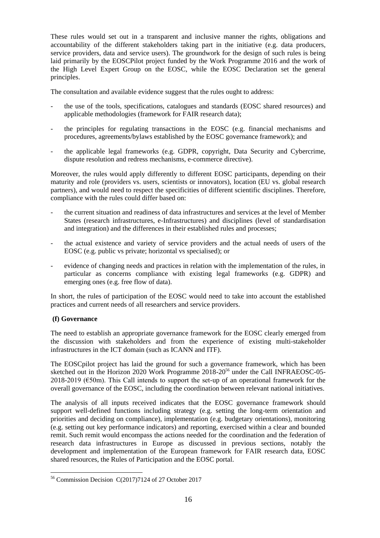These rules would set out in a transparent and inclusive manner the rights, obligations and accountability of the different stakeholders taking part in the initiative (e.g. data producers, service providers, data and service users). The groundwork for the design of such rules is being laid primarily by the EOSCPilot project funded by the Work Programme 2016 and the work of the High Level Expert Group on the EOSC, while the EOSC Declaration set the general principles.

The consultation and available evidence suggest that the rules ought to address:

- the use of the tools, specifications, catalogues and standards (EOSC shared resources) and applicable methodologies (framework for FAIR research data);
- the principles for regulating transactions in the EOSC (e.g. financial mechanisms and procedures, agreements/bylaws established by the EOSC governance framework); and
- the applicable legal frameworks (e.g. GDPR, copyright, Data Security and Cybercrime, dispute resolution and redress mechanisms, e-commerce directive).

Moreover, the rules would apply differently to different EOSC participants, depending on their maturity and role (providers vs. users, scientists or innovators), location (EU vs. global research partners), and would need to respect the specificities of different scientific disciplines. Therefore, compliance with the rules could differ based on:

- the current situation and readiness of data infrastructures and services at the level of Member States (research infrastructures, e-Infrastructures) and disciplines (level of standardisation and integration) and the differences in their established rules and processes;
- the actual existence and variety of service providers and the actual needs of users of the EOSC (e.g. public vs private; horizontal vs specialised); or
- evidence of changing needs and practices in relation with the implementation of the rules, in particular as concerns compliance with existing legal frameworks (e.g. GDPR) and emerging ones (e.g. free flow of data).

In short, the rules of participation of the EOSC would need to take into account the established practices and current needs of all researchers and service providers.

### **(f) Governance**

The need to establish an appropriate governance framework for the EOSC clearly emerged from the discussion with stakeholders and from the experience of existing multi-stakeholder infrastructures in the ICT domain (such as ICANN and ITF).

The EOSCpilot project has laid the ground for such a governance framework, which has been sketched out in the Horizon 2020 Work Programme 2018-20<sup>56</sup> under the Call INFRAEOSC-05-2018-2019 ( $\epsilon$ 50m). This Call intends to support the set-up of an operational framework for the overall governance of the EOSC, including the coordination between relevant national initiatives.

The analysis of all inputs received indicates that the EOSC governance framework should support well-defined functions including strategy (e.g. setting the long-term orientation and priorities and deciding on compliance), implementation (e.g. budgetary orientations), monitoring (e.g. setting out key performance indicators) and reporting, exercised within a clear and bounded remit. Such remit would encompass the actions needed for the coordination and the federation of research data infrastructures in Europe as discussed in previous sections, notably the development and implementation of the European framework for FAIR research data, EOSC shared resources, the Rules of Participation and the EOSC portal.

 $\overline{a}$ <sup>56</sup> Commission Decision C(2017)7124 of 27 October 2017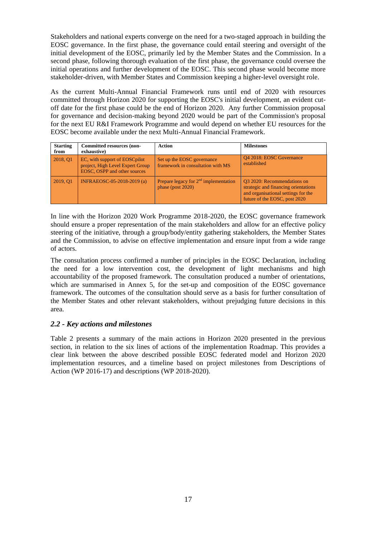Stakeholders and national experts converge on the need for a two-staged approach in building the EOSC governance. In the first phase, the governance could entail steering and oversight of the initial development of the EOSC, primarily led by the Member States and the Commission. In a second phase, following thorough evaluation of the first phase, the governance could oversee the initial operations and further development of the EOSC. This second phase would become more stakeholder-driven, with Member States and Commission keeping a higher-level oversight role.

As the current Multi-Annual Financial Framework runs until end of 2020 with resources committed through Horizon 2020 for supporting the EOSC's initial development, an evident cutoff date for the first phase could be the end of Horizon 2020. Any further Commission proposal for governance and decision-making beyond 2020 would be part of the Commission's proposal for the next EU R&I Framework Programme and would depend on whether EU resources for the EOSC become available under the next Multi-Annual Financial Framework.

| <b>Starting</b><br>from | <b>Committed resources (non-</b><br>exhaustive)                                                    | Action                                                          | <b>Milestones</b>                                                                                                                           |
|-------------------------|----------------------------------------------------------------------------------------------------|-----------------------------------------------------------------|---------------------------------------------------------------------------------------------------------------------------------------------|
| 2018, Q1                | EC, with support of EOSC pilot<br>project, High Level Expert Group<br>EOSC, OSPP and other sources | Set up the EOSC governance<br>framework in consultation with MS | Q4 2018: EOSC Governance<br>established                                                                                                     |
| 2019, Q1                | INFRAEOSC-05-2018-2019 (a)                                                                         | Prepare legacy for $2nd$ implementation<br>phase (post $2020$ ) | Q3 2020: Recommendations on<br>strategic and financing orientations<br>and organisational settings for the<br>future of the EOSC, post 2020 |

In line with the Horizon 2020 Work Programme 2018-2020, the EOSC governance framework should ensure a proper representation of the main stakeholders and allow for an effective policy steering of the initiative, through a group/body/entity gathering stakeholders, the Member States and the Commission, to advise on effective implementation and ensure input from a wide range of actors.

The consultation process confirmed a number of principles in the EOSC Declaration, including the need for a low intervention cost, the development of light mechanisms and high accountability of the proposed framework. The consultation produced a number of orientations, which are summarised in Annex 5, for the set-up and composition of the EOSC governance framework. The outcomes of the consultation should serve as a basis for further consultation of the Member States and other relevant stakeholders, without prejudging future decisions in this area.

### *2.2 - Key actions and milestones*

Table 2 presents a summary of the main actions in Horizon 2020 presented in the previous section, in relation to the six lines of actions of the implementation Roadmap. This provides a clear link between the above described possible EOSC federated model and Horizon 2020 implementation resources, and a timeline based on project milestones from Descriptions of Action (WP 2016-17) and descriptions (WP 2018-2020).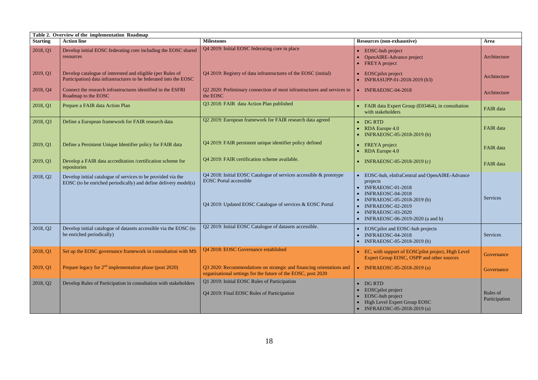|                 | Table 2. Overview of the implementation Roadmap                                                                                 |                                                                                                                                                                  |                                                                                                                                                                                                                              |                           |  |
|-----------------|---------------------------------------------------------------------------------------------------------------------------------|------------------------------------------------------------------------------------------------------------------------------------------------------------------|------------------------------------------------------------------------------------------------------------------------------------------------------------------------------------------------------------------------------|---------------------------|--|
| <b>Starting</b> | <b>Action line</b>                                                                                                              | <b>Milestones</b>                                                                                                                                                | Resources (non-exhaustive)                                                                                                                                                                                                   | Area                      |  |
| 2018, Q1        | Develop initial EOSC federating core including the EOSC shared<br>resources                                                     | Q4 2019: Initial EOSC federating core in place                                                                                                                   | <b>EOSC-hub project</b><br>OpenAIRE-Advance project<br>• FREYA project                                                                                                                                                       | Architecture              |  |
| 2019, Q1        | Develop catalogue of interested and eligible (per Rules of<br>Participation) data infrastructures to be federated into the EOSC | Q4 2019: Registry of data infrastructures of the EOSC (initial)                                                                                                  | • EOSCpilot project<br>INFRASUPP-01-2018-2019 (b3)                                                                                                                                                                           | Architecture              |  |
| 2018, Q4        | Connect the research infrastructures identified in the ESFRI<br>Roadmap to the EOSC                                             | Q2 2020: Preliminary connection of most infrastructures and services to<br>the EOSC                                                                              | $\bullet$ INFRAEOSC-04-2018                                                                                                                                                                                                  | Architecture              |  |
| 2018, Q1        | Prepare a FAIR data Action Plan                                                                                                 | Q3 2018: FAIR data Action Plan published                                                                                                                         | • FAIR data Expert Group (E03464), in consultation<br>with stakeholders                                                                                                                                                      | <b>FAIR</b> data          |  |
| 2018, Q3        | Define a European framework for FAIR research data                                                                              | Q2 2019: European framework for FAIR research data agreed                                                                                                        | DG RTD<br>$\bullet$ RDA Europe 4.0<br>• INFRAEOSC-05-2018-2019 (b)                                                                                                                                                           | FAIR data                 |  |
| 2019, Q1        | Define a Persistent Unique Identifier policy for FAIR data                                                                      | Q4 2019: FAIR persistent unique identifier policy defined                                                                                                        | • FREYA project<br>$\bullet$ RDA Europe 4.0                                                                                                                                                                                  | <b>FAIR</b> data          |  |
| 2019, Q1        | Develop a FAIR data accreditation /certification scheme for<br>repositories                                                     | Q4 2019: FAIR certification scheme available.                                                                                                                    | • INFRAEOSC-05-2018-2019 (c)                                                                                                                                                                                                 | FAIR data                 |  |
| 2018, Q2        | Develop initial catalogue of services to be provided via the<br>EOSC (to be enriched periodically) and define delivery model(s) | Q4 2018: Initial EOSC Catalogue of services accessible & prototype<br><b>EOSC</b> Portal accessible<br>Q4 2019: Updated EOSC Catalogue of services & EOSC Portal | • EOSC-hub, eInfraCentral and OpenAIRE-Advance<br>projects<br>$\bullet$ INFRAEOSC-01-2018<br>INFRAEOSC-04-2018<br>INFRAEOSC-05-2018-2019 (b)<br>INFRAEOSC-02-2019<br>INFRAEOSC-03-2020<br>• INFRAEOSC-06-2019-2020 (a and b) | <b>Services</b>           |  |
| 2018, Q2        | Develop initial catalogue of datasets accessible via the EOSC (to<br>be enriched periodically)                                  | Q2 2019: Initial EOSC Catalogue of datasets accessible.                                                                                                          | • EOSCpilot and EOSC-hub projects<br>INFRAEOSC-04-2018<br>• INFRAEOSC-05-2018-2019 (b)                                                                                                                                       | <b>Services</b>           |  |
| 2018, Q1        | Set up the EOSC governance framework in consultation with MS                                                                    | Q4 2018: EOSC Governance established                                                                                                                             | • EC, with support of EOSC pilot project, High Level<br>Expert Group EOSC, OSPP and other sources                                                                                                                            | Governance                |  |
| 2019, Q1        | Prepare legacy for $2nd$ implementation phase (post 2020)                                                                       | Q3 2020: Recommendations on strategic and financing orientations and<br>organisational settings for the future of the EOSC, post 2020                            | • INFRAEOSC-05-2018-2019 (a)                                                                                                                                                                                                 | Governance                |  |
| 2018, Q2        | Develop Rules of Participation in consultation with stakeholders                                                                | Q1 2019: Initial EOSC Rules of Participation<br>Q4 2019: Final EOSC Rules of Participation                                                                       | DG RTD<br><b>EOSCpilot</b> project<br>• EOSC-hub project<br>High Level Expert Group EOSC<br>• INFRAEOSC-05-2018-2019 (a)                                                                                                     | Rules of<br>Participation |  |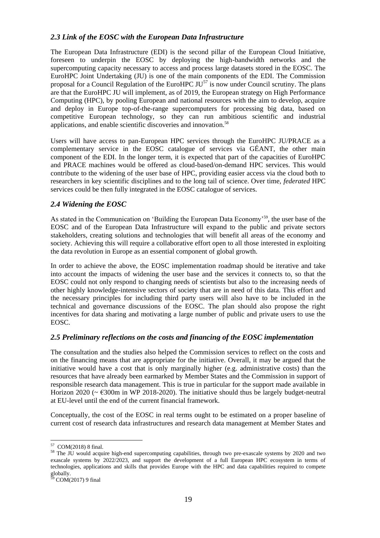## *2.3 Link of the EOSC with the European Data Infrastructure*

The European Data Infrastructure (EDI) is the second pillar of the European Cloud Initiative, foreseen to underpin the EOSC by deploying the high-bandwidth networks and the supercomputing capacity necessary to access and process large datasets stored in the EOSC. The EuroHPC Joint Undertaking (JU) is one of the main components of the EDI. The Commission proposal for a Council Regulation of the EuroHPC  $JU^{57}$  is now under Council scrutiny. The plans are that the EuroHPC JU will implement, as of 2019, the European strategy on High Performance Computing (HPC), by pooling European and national resources with the aim to develop, acquire and deploy in Europe top-of-the-range supercomputers for processing big data, based on competitive European technology, so they can run ambitious scientific and industrial applications, and enable scientific discoveries and innovation.<sup>58</sup>

Users will have access to pan-European HPC services through the EuroHPC JU/PRACE as a complementary service in the EOSC catalogue of services via GÉANT, the other main component of the EDI. In the longer term, it is expected that part of the capacities of EuroHPC and PRACE machines would be offered as cloud-based/on-demand HPC services. This would contribute to the widening of the user base of HPC, providing easier access via the cloud both to researchers in key scientific disciplines and to the long tail of science. Over time, *federated* HPC services could be then fully integrated in the EOSC catalogue of services.

#### *2.4 Widening the EOSC*

As stated in the Communication on 'Building the European Data Economy'<sup>59</sup>, the user base of the EOSC and of the European Data Infrastructure will expand to the public and private sectors stakeholders, creating solutions and technologies that will benefit all areas of the economy and society. Achieving this will require a collaborative effort open to all those interested in exploiting the data revolution in Europe as an essential component of global growth.

In order to achieve the above, the EOSC implementation roadmap should be iterative and take into account the impacts of widening the user base and the services it connects to, so that the EOSC could not only respond to changing needs of scientists but also to the increasing needs of other highly knowledge-intensive sectors of society that are in need of this data. This effort and the necessary principles for including third party users will also have to be included in the technical and governance discussions of the EOSC. The plan should also propose the right incentives for data sharing and motivating a large number of public and private users to use the EOSC.

### *2.5 Preliminary reflections on the costs and financing of the EOSC implementation*

The consultation and the studies also helped the Commission services to reflect on the costs and on the financing means that are appropriate for the initiative. Overall, it may be argued that the initiative would have a cost that is only marginally higher (e.g. administrative costs) than the resources that have already been earmarked by Member States and the Commission in support of responsible research data management. This is true in particular for the support made available in Horizon 2020 ( $\sim \text{\textsterling}300$ m in WP 2018-2020). The initiative should thus be largely budget-neutral at EU-level until the end of the current financial framework.

Conceptually, the cost of the EOSC in real terms ought to be estimated on a proper baseline of current cost of research data infrastructures and research data management at Member States and

 57 COM(2018) 8 final.

<sup>&</sup>lt;sup>58</sup> The JU would acquire high-end supercomputing capabilities, through two pre-exascale systems by 2020 and two exascale systems by 2022/2023, and support the development of a full European HPC ecosystem in terms of technologies, applications and skills that provides Europe with the HPC and data capabilities required to compete globally.

 $59$  COM(2017) 9 final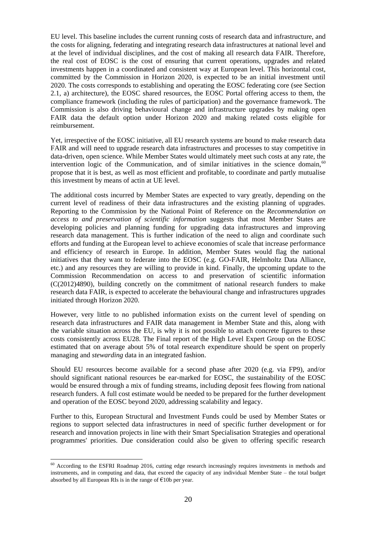EU level. This baseline includes the current running costs of research data and infrastructure, and the costs for aligning, federating and integrating research data infrastructures at national level and at the level of individual disciplines, and the cost of making all research data FAIR. Therefore, the real cost of EOSC is the cost of ensuring that current operations, upgrades and related investments happen in a coordinated and consistent way at European level. This horizontal cost, committed by the Commission in Horizon 2020, is expected to be an initial investment until 2020. The costs corresponds to establishing and operating the EOSC federating core (see Section 2.1, a) architecture), the EOSC shared resources, the EOSC Portal offering access to them, the compliance framework (including the rules of participation) and the governance framework. The Commission is also driving behavioural change and infrastructure upgrades by making open FAIR data the default option under Horizon 2020 and making related costs eligible for reimbursement.

Yet, irrespective of the EOSC initiative, all EU research systems are bound to make research data FAIR and will need to upgrade research data infrastructures and processes to stay competitive in data-driven, open science. While Member States would ultimately meet such costs at any rate, the intervention logic of the Communication, and of similar initiatives in the science domain, $60$ propose that it is best, as well as most efficient and profitable, to coordinate and partly mutualise this investment by means of actin at UE level.

The additional costs incurred by Member States are expected to vary greatly, depending on the current level of readiness of their data infrastructures and the existing planning of upgrades. Reporting to the Commission by the National Point of Reference on the *Recommendation on access to and preservation of scientific information* suggests that most Member States are developing policies and planning funding for upgrading data infrastructures and improving research data management. This is further indication of the need to align and coordinate such efforts and funding at the European level to achieve economies of scale that increase performance and efficiency of research in Europe. In addition, Member States would flag the national initiatives that they want to federate into the EOSC (e.g. GO-FAIR, Helmholtz Data Alliance, etc.) and any resources they are willing to provide in kind. Finally, the upcoming update to the Commission Recommendation on access to and preservation of scientific information (C(2012)4890), building concretly on the commitment of national research funders to make research data FAIR, is expected to accelerate the behavioural change and infrastructures upgrades initiated through Horizon 2020.

However, very little to no published information exists on the current level of spending on research data infrastructures and FAIR data management in Member State and this, along with the variable situation across the EU, is why it is not possible to attach concrete figures to these costs consistently across EU28. The Final report of the High Level Expert Group on the EOSC estimated that on average about 5% of total research expenditure should be spent on properly managing and *stewarding* data in an integrated fashion.

Should EU resources become available for a second phase after 2020 (e.g. via FP9), and/or should significant national resources be ear-marked for EOSC, the sustainability of the EOSC would be ensured through a mix of funding streams, including deposit fees flowing from national research funders. A full cost estimate would be needed to be prepared for the further development and operation of the EOSC beyond 2020, addressing scalability and legacy.

Further to this, European Structural and Investment Funds could be used by Member States or regions to support selected data infrastructures in need of specific further development or for research and innovation projects in line with their Smart Specialisation Strategies and operational programmes' priorities. Due consideration could also be given to offering specific research

 $\ddot{\phantom{a}}$ 

 $60$  According to the ESFRI Roadmap 2016, cutting edge research increasingly requires investments in methods and instruments, and in computing and data, that exceed the capacity of any individual Member State – the total budget absorbed by all European RIs is in the range of  $\epsilon$ 10b per year.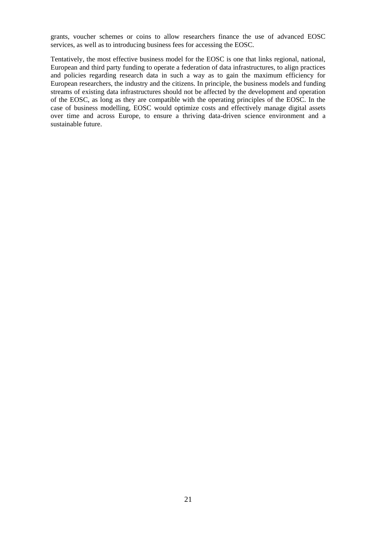grants, voucher schemes or coins to allow researchers finance the use of advanced EOSC services, as well as to introducing business fees for accessing the EOSC.

Tentatively, the most effective business model for the EOSC is one that links regional, national, European and third party funding to operate a federation of data infrastructures, to align practices and policies regarding research data in such a way as to gain the maximum efficiency for European researchers, the industry and the citizens. In principle, the business models and funding streams of existing data infrastructures should not be affected by the development and operation of the EOSC, as long as they are compatible with the operating principles of the EOSC. In the case of business modelling, EOSC would optimize costs and effectively manage digital assets over time and across Europe, to ensure a thriving data-driven science environment and a sustainable future.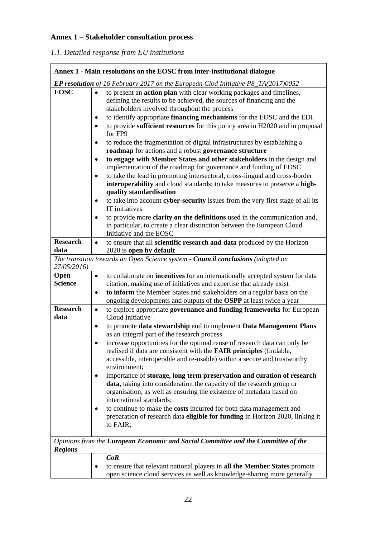## **Annex 1 – Stakeholder consultation process**

## *1.1. Detailed response from EU institutions*

| Annex 1 - Main resolutions on the EOSC from inter-institutional dialogue |                                                                                                                                                                                                                                                                                                                                                                                                                                                                                                                                                                                                                                                                                                                                                                                                                                                                                                                                                                                         |  |  |
|--------------------------------------------------------------------------|-----------------------------------------------------------------------------------------------------------------------------------------------------------------------------------------------------------------------------------------------------------------------------------------------------------------------------------------------------------------------------------------------------------------------------------------------------------------------------------------------------------------------------------------------------------------------------------------------------------------------------------------------------------------------------------------------------------------------------------------------------------------------------------------------------------------------------------------------------------------------------------------------------------------------------------------------------------------------------------------|--|--|
|                                                                          | <b>EP resolution</b> of 16 February 2017 on the European Clod Initiative $P8_TA(2017)0052$                                                                                                                                                                                                                                                                                                                                                                                                                                                                                                                                                                                                                                                                                                                                                                                                                                                                                              |  |  |
| <b>EOSC</b>                                                              | to present an <b>action plan</b> with clear working packages and timelines,<br>defining the results to be achieved, the sources of financing and the<br>stakeholders involved throughout the process<br>to identify appropriate financing mechanisms for the EOSC and the EDI<br>to provide sufficient resources for this policy area in H2020 and in proposal<br>for FP9<br>to reduce the fragmentation of digital infrastructures by establishing a<br>٠<br>roadmap for actions and a robust governance structure<br>to engage with Member States and other stakeholders in the design and<br>$\bullet$<br>implementation of the roadmap for governance and funding of EOSC<br>to take the lead in promoting intersectoral, cross-lingual and cross-border<br>interoperability and cloud standards; to take measures to preserve a high-<br>quality standardisation<br>to take into account cyber-security issues from the very first stage of all its<br>$\bullet$<br>IT initiatives |  |  |
|                                                                          | to provide more clarity on the definitions used in the communication and,<br>in particular, to create a clear distinction between the European Cloud<br>Initiative and the EOSC                                                                                                                                                                                                                                                                                                                                                                                                                                                                                                                                                                                                                                                                                                                                                                                                         |  |  |
| <b>Research</b>                                                          | to ensure that all scientific research and data produced by the Horizon<br>$\bullet$                                                                                                                                                                                                                                                                                                                                                                                                                                                                                                                                                                                                                                                                                                                                                                                                                                                                                                    |  |  |
| data                                                                     | 2020 is open by default<br>The transition towards an Open Science system - Council conclusions (adopted on                                                                                                                                                                                                                                                                                                                                                                                                                                                                                                                                                                                                                                                                                                                                                                                                                                                                              |  |  |
| 27/05/2016)                                                              |                                                                                                                                                                                                                                                                                                                                                                                                                                                                                                                                                                                                                                                                                                                                                                                                                                                                                                                                                                                         |  |  |
| Open<br><b>Science</b><br><b>Research</b><br>data                        | to collaborate on incentives for an internationally accepted system for data<br>٠<br>citation, making use of initiatives and expertise that already exist<br>to inform the Member States and stakeholders on a regular basis on the<br>$\bullet$<br>ongoing developments and outputs of the OSPP at least twice a year<br>to explore appropriate governance and funding frameworks for European<br>$\bullet$<br>Cloud Initiative<br>to promote data stewardship and to implement Data Management Plans<br>٠<br>as an integral part of the research process<br>increase opportunities for the optimal reuse of research data can only be<br>٠<br>realised if data are consistent with the FAIR principles (findable,<br>accessible, interoperable and re-usable) within a secure and trustworthy                                                                                                                                                                                         |  |  |
|                                                                          | environment;<br>importance of storage, long term preservation and curation of research<br>data, taking into consideration the capacity of the research group or<br>organisation, as well as ensuring the existence of metadata based on<br>international standards;<br>to continue to make the costs incurred for both data management and<br>preparation of research data eligible for funding in Horizon 2020, linking it<br>to FAIR;                                                                                                                                                                                                                                                                                                                                                                                                                                                                                                                                                 |  |  |
|                                                                          | Opinions from the European Economic and Social Committee and the Committee of the                                                                                                                                                                                                                                                                                                                                                                                                                                                                                                                                                                                                                                                                                                                                                                                                                                                                                                       |  |  |
| <b>Regions</b>                                                           |                                                                                                                                                                                                                                                                                                                                                                                                                                                                                                                                                                                                                                                                                                                                                                                                                                                                                                                                                                                         |  |  |
|                                                                          | CoR<br>to ensure that relevant national players in all the Member States promote<br>٠<br>open science cloud services as well as knowledge-sharing more generally                                                                                                                                                                                                                                                                                                                                                                                                                                                                                                                                                                                                                                                                                                                                                                                                                        |  |  |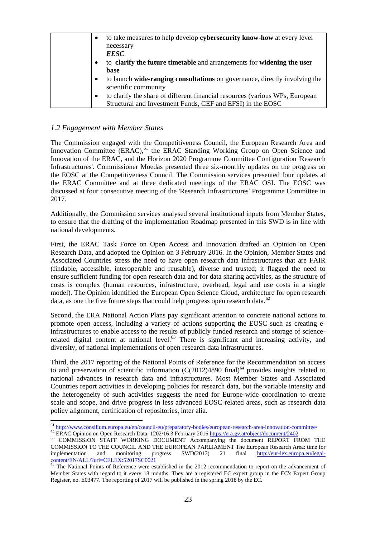| to take measures to help develop cybersecurity know-how at every level<br>$\bullet$       |
|-------------------------------------------------------------------------------------------|
| necessary                                                                                 |
| <b>EESC</b>                                                                               |
| to clarify the future timetable and arrangements for widening the user                    |
| base                                                                                      |
| to launch wide-ranging consultations on governance, directly involving the                |
| scientific community                                                                      |
| to clarify the share of different financial resources (various WPs, European<br>$\bullet$ |
| Structural and Investment Funds, CEF and EFSI) in the EOSC                                |

#### *1.2 Engagement with Member States*

The Commission engaged with the Competitiveness Council, the European Research Area and Innovation Committee  $(ERAC)$ , <sup>61</sup> the ERAC Standing Working Group on Open Science and Innovation of the ERAC, and the Horizon 2020 Programme Committee Configuration 'Research Infrastructures'. Commissioner Moedas presented three six-monthly updates on the progress on the EOSC at the Competitiveness Council. The Commission services presented four updates at the ERAC Committee and at three dedicated meetings of the ERAC OSI. The EOSC was discussed at four consecutive meeting of the 'Research Infrastructures' Programme Committee in 2017.

Additionally, the Commission services analysed several institutional inputs from Member States, to ensure that the drafting of the implementation Roadmap presented in this SWD is in line with national developments.

First, the ERAC Task Force on Open Access and Innovation drafted an Opinion on Open Research Data, and adopted the Opinion on 3 February 2016. In the Opinion, Member States and Associated Countries stress the need to have open research data infrastructures that are FAIR (findable, accessible, interoperable and reusable), diverse and trusted; it flagged the need to ensure sufficient funding for open research data and for data sharing activities, as the structure of costs is complex (human resources, infrastructure, overhead, legal and use costs in a single model). The Opinion identified the European Open Science Cloud, architecture for open research data, as one the five future steps that could help progress open research data.<sup>62</sup>

Second, the ERA National Action Plans pay significant attention to concrete national actions to promote open access, including a variety of actions supporting the EOSC such as creating einfrastructures to enable access to the results of publicly funded research and storage of sciencerelated digital content at national level. $^{63}$  There is significant and increasing activity, and diversity, of national implementations of open research data infrastructures.

Third, the 2017 reporting of the National Points of Reference for the Recommendation on access to and preservation of scientific information  $(C(2012)4890 \text{ final})^{64}$  provides insights related to national advances in research data and infrastructures. Most Member States and Associated Countries report activities in developing policies for research data, but the variable intensity and the heterogeneity of such activities suggests the need for Europe-wide coordination to create scale and scope, and drive progress in less advanced EOSC-related areas, such as research data policy alignment, certification of repositories, inter alia.

 $\overline{a}$ <sup>61</sup> <http://www.consilium.europa.eu/en/council-eu/preparatory-bodies/european-research-area-innovation-committee/>

<sup>62</sup> ERAC Opinion on Open Research Data, 1202/16 3 February 2016<https://era.gv.at/object/document/2402>

<sup>&</sup>lt;sup>63</sup> COMMISSION STAFF WORKING DOCUMENT Accompanying the document REPORT FROM THE COMMISSION TO THE COUNCIL AND THE EUROPEAN PARLIAMENT The European Research Area: time for implementation and monitoring progress SWD(2017) 21 final [http://eur-lex.europa.eu/legal](http://eur-lex.europa.eu/legal-content/EN/ALL/?uri=CELEX:52017SC0021)[content/EN/ALL/?uri=CELEX:52017SC0021](http://eur-lex.europa.eu/legal-content/EN/ALL/?uri=CELEX:52017SC0021)

<sup>&</sup>lt;sup>64</sup> The National Points of Reference were established in the 2012 recommendation to report on the advancement of Member States with regard to it every 18 months. They are a registered EC expert group in the EC's Expert Group Register, no. E03477. The reporting of 2017 will be published in the spring 2018 by the EC.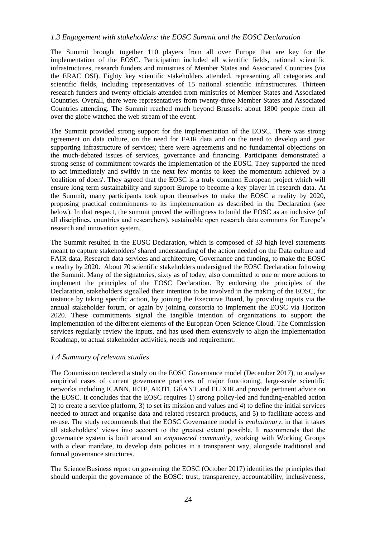### *1.3 Engagement with stakeholders: the EOSC Summit and the EOSC Declaration*

The Summit brought together 110 players from all over Europe that are key for the implementation of the EOSC. Participation included all scientific fields, national scientific infrastructures, research funders and ministries of Member States and Associated Countries (via the ERAC OSI). Eighty key scientific stakeholders attended, representing all categories and scientific fields, including representatives of 15 national scientific infrastructures. Thirteen research funders and twenty officials attended from ministries of Member States and Associated Countries. Overall, there were representatives from twenty-three Member States and Associated Countries attending. The Summit reached much beyond Brussels: about 1800 people from all over the globe watched the web stream of the event.

The Summit provided strong support for the implementation of the EOSC. There was strong agreement on data culture, on the need for FAIR data and on the need to develop and gear supporting infrastructure of services; there were agreements and no fundamental objections on the much-debated issues of services, governance and financing. Participants demonstrated a strong sense of commitment towards the implementation of the EOSC. They supported the need to act immediately and swiftly in the next few months to keep the momentum achieved by a 'coalition of doers'. They agreed that the EOSC is a truly common European project which will ensure long term sustainability and support Europe to become a key player in research data. At the Summit, many participants took upon themselves to make the EOSC a reality by 2020, proposing practical commitments to its implementation as described in the Declaration (see below). In that respect, the summit proved the willingness to build the EOSC as an inclusive (of all disciplines, countries and researchers), sustainable open research data commons for Europe's research and innovation system.

The Summit resulted in the EOSC Declaration, which is composed of 33 high level statements meant to capture stakeholders' shared understanding of the action needed on the Data culture and FAIR data, Research data services and architecture, Governance and funding, to make the EOSC a reality by 2020. About 70 scientific stakeholders undersigned the EOSC Declaration following the Summit. Many of the signatories, sixty as of today, also committed to one or more actions to implement the principles of the EOSC Declaration. By endorsing the principles of the Declaration, stakeholders signalled their intention to be involved in the making of the EOSC, for instance by taking specific action, by joining the Executive Board, by providing inputs via the annual stakeholder forum, or again by joining consortia to implement the EOSC via Horizon 2020. These commitments signal the tangible intention of organizations to support the implementation of the different elements of the European Open Science Cloud. The Commission services regularly review the inputs, and has used them extensively to align the implementation Roadmap, to actual stakeholder activities, needs and requirement.

#### *1.4 Summary of relevant studies*

The Commission tendered a study on the EOSC Governance model (December 2017), to analyse empirical cases of current governance practices of major functioning, large-scale scientific networks including ICANN, IETF, AIOTI, GÉANT and ELIXIR and provide pertinent advice on the EOSC. It concludes that the EOSC requires 1) strong policy‐led and funding‐enabled action 2) to create a service platform, 3) to set its mission and values and 4) to define the initial services needed to attract and organise data and related research products, and 5) to facilitate access and re‐use. The study recommends that the EOSC Governance model is *evolutionary*, in that it takes all stakeholders' views into account to the greatest extent possible. It recommends that the governance system is built around an *empowered community*, working with Working Groups with a clear mandate, to develop data policies in a transparent way, alongside traditional and formal governance structures.

The Science|Business report on governing the EOSC (October 2017) identifies the principles that should underpin the governance of the EOSC: trust, transparency, accountability, inclusiveness,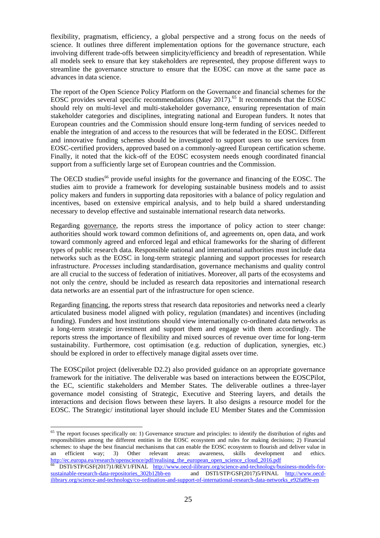flexibility, pragmatism, efficiency, a global perspective and a strong focus on the needs of science. It outlines three different implementation options for the governance structure, each involving different trade-offs between simplicity/efficiency and breadth of representation. While all models seek to ensure that key stakeholders are represented, they propose different ways to streamline the governance structure to ensure that the EOSC can move at the same pace as advances in data science.

The report of the Open Science Policy Platform on the Governance and financial schemes for the EOSC provides several specific recommendations (May  $2017$ ).<sup>65</sup> It recommends that the EOSC should rely on multi-level and multi-stakeholder governance, ensuring representation of main stakeholder categories and disciplines, integrating national and European funders. It notes that European countries and the Commission should ensure long-term funding of services needed to enable the integration of and access to the resources that will be federated in the EOSC. Different and innovative funding schemes should be investigated to support users to use services from EOSC-certified providers, approved based on a commonly-agreed European certification scheme. Finally, it noted that the kick-off of the EOSC ecosystem needs enough coordinated financial support from a sufficiently large set of European countries and the Commission.

The OECD studies<sup>66</sup> provide useful insights for the governance and financing of the EOSC. The studies aim to provide a framework for developing sustainable business models and to assist policy makers and funders in supporting data repositories with a balance of policy regulation and incentives, based on extensive empirical analysis, and to help build a shared understanding necessary to develop effective and sustainable international research data networks.

Regarding governance, the reports stress the importance of policy action to steer change: authorities should work toward common definitions of, and agreements on, open data, and work toward commonly agreed and enforced legal and ethical frameworks for the sharing of different types of public research data. Responsible national and international authorities must include data networks such as the EOSC in long-term strategic planning and support processes for research infrastructure. *Processes* including standardisation, governance mechanisms and quality control are all crucial to the success of federation of initiatives. Moreover, all parts of the ecosystems and not only the *centre*, should be included as research data repositories and international research data networks are an essential part of the infrastructure for open science.

Regarding financing, the reports stress that research data repositories and networks need a clearly articulated business model aligned with policy, regulation (mandates) and incentives (including funding). Funders and host institutions should view internationally co-ordinated data networks as a long-term strategic investment and support them and engage with them accordingly. The reports stress the importance of flexibility and mixed sources of revenue over time for long-term sustainability. Furthermore, cost optimisation (e.g. reduction of duplication, synergies, etc.) should be explored in order to effectively manage digital assets over time.

The EOSCpilot project (deliverable D2.2) also provided guidance on an appropriate governance framework for the initiative. The deliverable was based on interactions between the EOSCPilot, the EC, scientific stakeholders and Member States. The deliverable outlines a three-layer governance model consisting of Strategic, Executive and Steering layers, and details the interactions and decision flows between these layers. It also designs a resource model for the EOSC. The Strategic/ institutional layer should include EU Member States and the Commission

 $\ddot{\phantom{a}}$ 

 $65$  The report focuses specifically on: 1) Governance structure and principles: to identify the distribution of rights and responsibilities among the different entities in the EOSC ecosystem and rules for making decisions; 2) Financial schemes: to shape the best financial mechanisms that can enable the EOSC ecosystem to flourish and deliver value in an efficient way; 3) Other relevant areas: awareness, skills development and ethics. [http://ec.europa.eu/research/openscience/pdf/realising\\_the\\_european\\_open\\_science\\_cloud\\_2016.pdf](http://ec.europa.eu/research/openscience/pdf/realising_the_european_open_science_cloud_2016.pdf)

<sup>66</sup> DSTI/STP/GSF(2017)1/REV1/FINAL [http://www.oecd-ilibrary.org/science-and-technology/business-models-for](http://www.oecd-ilibrary.org/science-and-technology/business-models-for-sustainable-research-data-repositories_302b12bb-en)[sustainable-research-data-repositories\\_302b12bb-en](http://www.oecd-ilibrary.org/science-and-technology/business-models-for-sustainable-research-data-repositories_302b12bb-en) and DSTI/STP/GSF(2017)5/FINAL [http://www.oecd](http://www.oecd-ilibrary.org/science-and-technology/co-ordination-and-support-of-international-research-data-networks_e92fa89e-en)[ilibrary.org/science-and-technology/co-ordination-and-support-of-international-research-data-networks\\_e92fa89e-en](http://www.oecd-ilibrary.org/science-and-technology/co-ordination-and-support-of-international-research-data-networks_e92fa89e-en)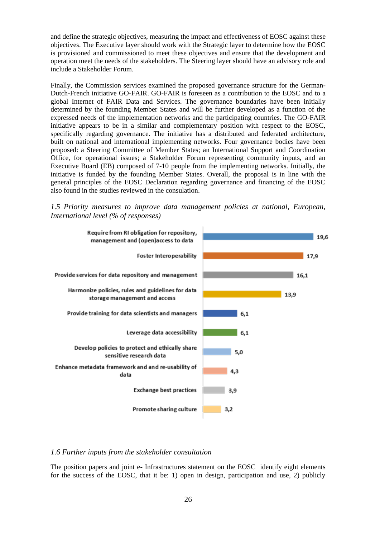and define the strategic objectives, measuring the impact and effectiveness of EOSC against these objectives. The Executive layer should work with the Strategic layer to determine how the EOSC is provisioned and commissioned to meet these objectives and ensure that the development and operation meet the needs of the stakeholders. The Steering layer should have an advisory role and include a Stakeholder Forum.

Finally, the Commission services examined the proposed governance structure for the German-Dutch-French initiative GO-FAIR. GO-FAIR is foreseen as a contribution to the EOSC and to a global Internet of FAIR Data and Services. The governance boundaries have been initially determined by the founding Member States and will be further developed as a function of the expressed needs of the implementation networks and the participating countries. The GO-FAIR initiative appears to be in a similar and complementary position with respect to the EOSC, specifically regarding governance. The initiative has a distributed and federated architecture, built on national and international implementing networks. Four governance bodies have been proposed: a Steering Committee of Member States; an International Support and Coordination Office, for operational issues; a Stakeholder Forum representing community inputs, and an Executive Board (EB) composed of 7-10 people from the implementing networks. Initially, the initiative is funded by the founding Member States. Overall, the proposal is in line with the general principles of the EOSC Declaration regarding governance and financing of the EOSC also found in the studies reviewed in the consulation.

*1.5 Priority measures to improve data management policies at national, European, International level (% of responses)*



#### *1.6 Further inputs from the stakeholder consultation*

The position papers and joint e- Infrastructures statement on the EOSC identify eight elements for the success of the EOSC, that it be: 1) open in design, participation and use, 2) publicly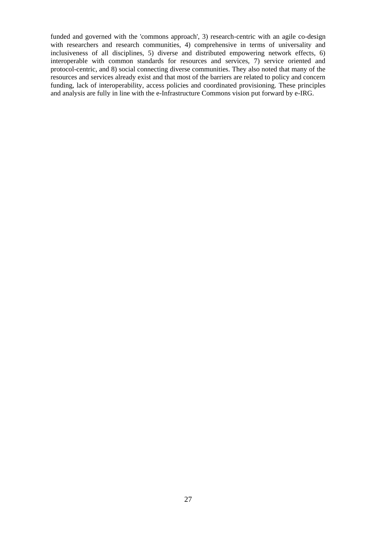funded and governed with the 'commons approach', 3) research-centric with an agile co-design with researchers and research communities, 4) comprehensive in terms of universality and inclusiveness of all disciplines, 5) diverse and distributed empowering network effects, 6) interoperable with common standards for resources and services, 7) service oriented and protocol-centric, and 8) social connecting diverse communities. They also noted that many of the resources and services already exist and that most of the barriers are related to policy and concern funding, lack of interoperability, access policies and coordinated provisioning. These principles and analysis are fully in line with the e-Infrastructure Commons vision put forward by e-IRG.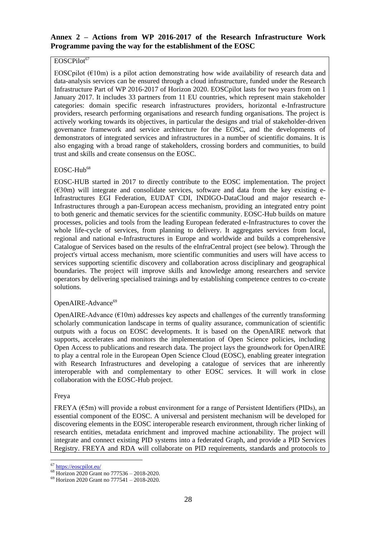## **Annex 2 – Actions from WP 2016-2017 of the Research Infrastructure Work Programme paving the way for the establishment of the EOSC**

### EOSCPilot<sup>67</sup>

EOSCpilot ( $E10m$ ) is a pilot action demonstrating how wide availability of research data and data-analysis services can be ensured through a cloud infrastructure, funded under the Research Infrastructure Part of WP 2016-2017 of Horizon 2020. EOSCpilot lasts for two years from on 1 January 2017. It includes 33 partners from 11 EU countries, which represent main stakeholder categories: domain specific research infrastructures providers, horizontal e-Infrastructure providers, research performing organisations and research funding organisations. The project is actively working towards its objectives, in particular the designs and trial of stakeholder-driven governance framework and service architecture for the EOSC, and the developments of demonstrators of integrated services and infrastructures in a number of scientific domains. It is also engaging with a broad range of stakeholders, crossing borders and communities, to build trust and skills and create consensus on the EOSC.

### $EOSC-Hub<sup>68</sup>$

EOSC-HUB started in 2017 to directly contribute to the EOSC implementation. The project  $(630m)$  will integrate and consolidate services, software and data from the key existing e-Infrastructures EGI Federation, EUDAT CDI, INDIGO-DataCloud and major research e-Infrastructures through a pan-European access mechanism, providing an integrated entry point to both generic and thematic services for the scientific community. EOSC-Hub builds on mature processes, policies and tools from the leading European federated e-Infrastructures to cover the whole life-cycle of services, from planning to delivery. It aggregates services from local, regional and national e-Infrastructures in Europe and worldwide and builds a comprehensive Catalogue of Services based on the results of the eInfraCentral project (see below). Through the project's virtual access mechanism, more scientific communities and users will have access to services supporting scientific discovery and collaboration across disciplinary and geographical boundaries. The project will improve skills and knowledge among researchers and service operators by delivering specialised trainings and by establishing competence centres to co-create solutions.

### OpenAIRE-Advance<sup>69</sup>

OpenAIRE-Advance  $(\text{\textsterling}10m)$  addresses key aspects and challenges of the currently transforming scholarly communication landscape in terms of quality assurance, communication of scientific outputs with a focus on EOSC developments. It is based on the OpenAIRE network that supports, accelerates and monitors the implementation of Open Science policies, including Open Access to publications and research data. The project lays the groundwork for OpenAIRE to play a central role in the European Open Science Cloud (EOSC), enabling greater integration with Research Infrastructures and developing a catalogue of services that are inherently interoperable with and complementary to other EOSC services. It will work in close collaboration with the EOSC-Hub project.

### Freya

FREYA ( $\epsilon$ 5m) will provide a robust environment for a range of Persistent Identifiers (PIDs), an essential component of the EOSC. A universal and persistent mechanism will be developed for discovering elements in the EOSC interoperable research environment, through richer linking of research entities, metadata enrichment and improved machine actionability. The project will integrate and connect existing PID systems into a federated Graph, and provide a PID Services Registry. FREYA and RDA will collaborate on PID requirements, standards and protocols to

 $\ddot{\phantom{a}}$ <sup>67</sup> <https://eoscpilot.eu/>

<sup>68</sup> Horizon 2020 Grant no 777536 – 2018-2020.

<sup>69</sup> Horizon 2020 Grant no 777541 – 2018-2020.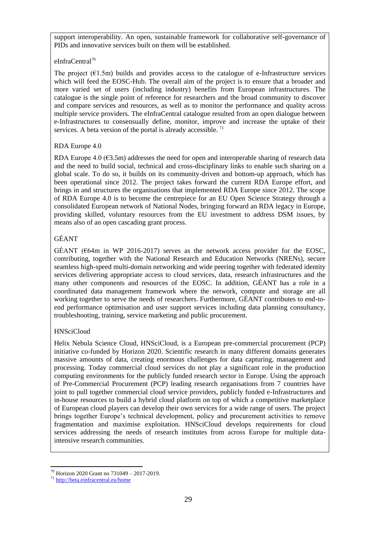support interoperability. An open, sustainable framework for collaborative self-governance of PIDs and innovative services built on them will be established.

## eInfraCentral<sup>70</sup>

The project  $(61.5m)$  builds and provides access to the catalogue of e-Infrastructure services which will feed the EOSC-Hub. The overall aim of the project is to ensure that a broader and more varied set of users (including industry) benefits from European infrastructures. The catalogue is the single point of reference for researchers and the broad community to discover and compare services and resources, as well as to monitor the performance and quality across multiple service providers. The eInfraCentral catalogue resulted from an open dialogue between e-Infrastructures to consensually define, monitor, improve and increase the uptake of their services. A beta version of the portal is already accessible.  $71$ 

## RDA Europe 4.0

RDA Europe 4.0 ( $63.5m$ ) addresses the need for open and interoperable sharing of research data and the need to build social, technical and cross-disciplinary links to enable such sharing on a global scale. To do so, it builds on its community-driven and bottom-up approach, which has been operational since 2012. The project takes forward the current RDA Europe effort, and brings in and structures the organisations that implemented RDA Europe since 2012. The scope of RDA Europe 4.0 is to become the centrepiece for an EU Open Science Strategy through a consolidated European network of National Nodes, bringing forward an RDA legacy in Europe, providing skilled, voluntary resources from the EU investment to address DSM issues, by means also of an open cascading grant process.

## GÉANT

GÉANT ( $64m$  in WP 2016-2017) serves as the network access provider for the EOSC, contributing, together with the National Research and Education Networks (NRENs), secure seamless high-speed multi-domain networking and wide peering together with federated identity services delivering appropriate access to cloud services, data, research infrastructures and the many other components and resources of the EOSC. In addition, GÉANT has a role in a coordinated data management framework where the network, compute and storage are all working together to serve the needs of researchers. Furthermore, GÉANT contributes to end-toend performance optimisation and user support services including data planning consultancy, troubleshooting, training, service marketing and public procurement.

## **HNSciCloud**

Helix Nebula Science Cloud, HNSciCloud, is a European pre-commercial procurement (PCP) initiative co-funded by Horizon 2020. Scientific research in many different domains generates massive amounts of data, creating enormous challenges for data capturing, management and processing. Today commercial cloud services do not play a significant role in the production computing environments for the publicly funded research sector in Europe. Using the approach of Pre-Commercial Procurement (PCP) leading research organisations from 7 countries have joint to pull together commercial cloud service providers, publicly funded e-Infrastructures and in-house resources to build a hybrid cloud platform on top of which a competitive marketplace of European cloud players can develop their own services for a wide range of users. The project brings together Europe's technical development, policy and procurement activities to remove fragmentation and maximise exploitation. HNSciCloud develops requirements for cloud services addressing the needs of research institutes from across Europe for multiple dataintensive research communities.

 $\overline{a}$  $70$  Horizon 2020 Grant no 731049 – 2017-2019.

<sup>71</sup> <http://beta.einfracentral.eu/home>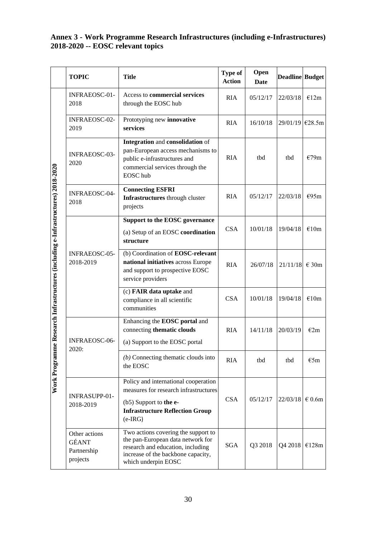## **Annex 3 - Work Programme Research Infrastructures (including e-Infrastructures) 2018-2020 -- EOSC relevant topics**

|                                                                                     | <b>TOPIC</b>                                      | <b>Title</b>                                                                                                                                                               | <b>Type of</b><br><b>Action</b> | Open<br><b>Date</b> | <b>Deadline</b> Budget |                |
|-------------------------------------------------------------------------------------|---------------------------------------------------|----------------------------------------------------------------------------------------------------------------------------------------------------------------------------|---------------------------------|---------------------|------------------------|----------------|
|                                                                                     | INFRAEOSC-01-<br>2018                             | Access to commercial services<br>through the EOSC hub                                                                                                                      | <b>RIA</b>                      | 05/12/17            | 22/03/18               | €12m           |
|                                                                                     | INFRAEOSC-02-<br>2019                             | Prototyping new innovative<br>services                                                                                                                                     | <b>RIA</b>                      | 16/10/18            | $29/01/19$ $\in$ 28.5m |                |
|                                                                                     | INFRAEOSC-03-<br>2020                             | Integration and consolidation of<br>pan-European access mechanisms to<br>public e-infrastructures and<br>commercial services through the<br>EOSC hub                       | <b>RIA</b>                      | tbd                 | thd                    | €79m           |
|                                                                                     | <b>INFRAEOSC-04-</b><br>2018                      | <b>Connecting ESFRI</b><br>Infrastructures through cluster<br>projects                                                                                                     | <b>RIA</b>                      | 05/12/17            | 22/03/18               | €95m           |
| me Research Infrastructures (including e-Infrastructures) 2018-2020<br>Work Program |                                                   | <b>Support to the EOSC governance</b><br>(a) Setup of an EOSC coordination<br>structure                                                                                    | <b>CSA</b>                      | 10/01/18            | 19/04/18               | €10m           |
|                                                                                     | <b>INFRAEOSC-05-</b><br>2018-2019                 | (b) Coordination of EOSC-relevant<br>national initiatives across Europe<br>and support to prospective EOSC<br>service providers                                            | <b>RIA</b>                      | 26/07/18            | 21/11/18               | $\epsilon$ 30m |
|                                                                                     |                                                   | (c) FAIR data uptake and<br>compliance in all scientific<br>communities                                                                                                    | <b>CSA</b>                      | 10/01/18            | 19/04/18               | €10m           |
|                                                                                     | INFRAEOSC-06-<br>2020:                            | Enhancing the EOSC portal and<br>connecting thematic clouds<br>(a) Support to the EOSC portal                                                                              | <b>RIA</b>                      | 14/11/18            | 20/03/19               | E2m            |
|                                                                                     |                                                   | $(b)$ Connecting thematic clouds into<br>the EOSC                                                                                                                          | <b>RIA</b>                      | tbd                 | tbd                    | $\epsilon$ 5m  |
|                                                                                     | INFRASUPP-01-<br>2018-2019                        | Policy and international cooperation<br>measures for research infrastructures<br>(b5) Support to the e-<br><b>Infrastructure Reflection Group</b><br>$(e-IRG)$             | <b>CSA</b>                      | 05/12/17            | 22/03/18               | $\in 0.6m$     |
|                                                                                     | Other actions<br>GÉANT<br>Partnership<br>projects | Two actions covering the support to<br>the pan-European data network for<br>research and education, including<br>increase of the backbone capacity,<br>which underpin EOSC | <b>SGA</b>                      | Q3 2018             | Q4 2018                | €128m          |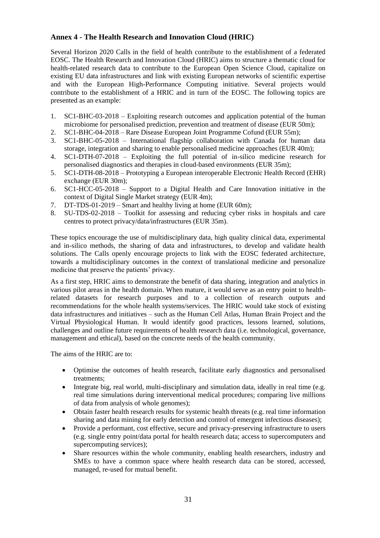## **Annex 4 - The Health Research and Innovation Cloud (HRIC)**

Several Horizon 2020 Calls in the field of health contribute to the establishment of a federated EOSC. The Health Research and Innovation Cloud (HRIC) aims to structure a thematic cloud for health-related research data to contribute to the European Open Science Cloud, capitalize on existing EU data infrastructures and link with existing European networks of scientific expertise and with the European High-Performance Computing initiative. Several projects would contribute to the establishment of a HRIC and in turn of the EOSC. The following topics are presented as an example:

- 1. SC1-BHC-03-2018 Exploiting research outcomes and application potential of the human microbiome for personalised prediction, prevention and treatment of disease (EUR 50m);
- 2. SC1-BHC-04-2018 Rare Disease European Joint Programme Cofund (EUR 55m);
- 3. SC1-BHC-05-2018 International flagship collaboration with Canada for human data storage, integration and sharing to enable personalised medicine approaches (EUR 40m);
- 4. SC1-DTH-07-2018 Exploiting the full potential of in-silico medicine research for personalised diagnostics and therapies in cloud-based environments (EUR 35m);
- 5. SC1-DTH-08-2018 Prototyping a European interoperable Electronic Health Record (EHR) exchange (EUR 30m);
- 6. SC1-HCC-05-2018 Support to a Digital Health and Care Innovation initiative in the context of Digital Single Market strategy (EUR 4m);
- 7. DT-TDS-01-2019 Smart and healthy living at home (EUR 60m);
- 8. SU-TDS-02-2018 Toolkit for assessing and reducing cyber risks in hospitals and care centres to protect privacy/data/infrastructures (EUR 35m).

These topics encourage the use of multidisciplinary data, high quality clinical data, experimental and in-silico methods, the sharing of data and infrastructures, to develop and validate health solutions. The Calls openly encourage projects to link with the EOSC federated architecture, towards a multidisciplinary outcomes in the context of translational medicine and personalize medicine that preserve the patients' privacy.

As a first step, HRIC aims to demonstrate the benefit of data sharing, integration and analytics in various pilot areas in the health domain. When mature, it would serve as an entry point to healthrelated datasets for research purposes and to a collection of research outputs and recommendations for the whole health systems/services. The HRIC would take stock of existing data infrastructures and initiatives – such as the Human Cell Atlas, Human Brain Project and the Virtual Physiological Human. It would identify good practices, lessons learned, solutions, challenges and outline future requirements of health research data (i.e. technological, governance, management and ethical), based on the concrete needs of the health community.

The aims of the HRIC are to:

- Optimise the outcomes of health research, facilitate early diagnostics and personalised treatments;
- Integrate big, real world, multi-disciplinary and simulation data, ideally in real time (e.g. real time simulations during interventional medical procedures; comparing live millions of data from analysis of whole genomes);
- Obtain faster health research results for systemic health threats (e.g. real time information sharing and data mining for early detection and control of emergent infectious diseases);
- Provide a performant, cost effective, secure and privacy-preserving infrastructure to users (e.g. single entry point/data portal for health research data; access to supercomputers and supercomputing services);
- Share resources within the whole community, enabling health researchers, industry and SMEs to have a common space where health research data can be stored, accessed, managed, re-used for mutual benefit.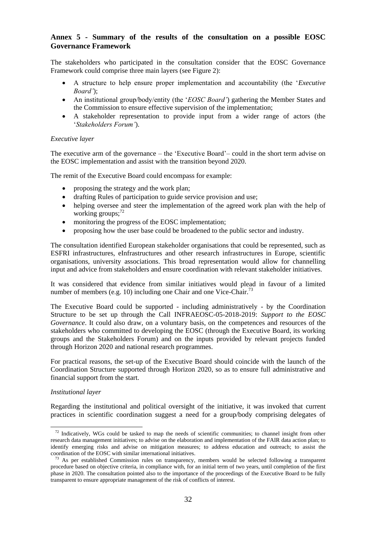### **Annex 5 - Summary of the results of the consultation on a possible EOSC Governance Framework**

The stakeholders who participated in the consultation consider that the EOSC Governance Framework could comprise three main layers (see Figure 2):

- A structure to help ensure proper implementation and accountability (the '*Executive Board'*);
- An institutional group/body/entity (the '*EOSC Board'*) gathering the Member States and the Commission to ensure effective supervision of the implementation;
- A stakeholder representation to provide input from a wider range of actors (the '*Stakeholders Forum'*).

#### *Executive layer*

The executive arm of the governance – the 'Executive Board'– could in the short term advise on the EOSC implementation and assist with the transition beyond 2020.

The remit of the Executive Board could encompass for example:

- proposing the strategy and the work plan;
- drafting Rules of participation to guide service provision and use;
- helping oversee and steer the implementation of the agreed work plan with the help of working groups; $^{72}$
- monitoring the progress of the EOSC implementation;
- proposing how the user base could be broadened to the public sector and industry.

The consultation identified European stakeholder organisations that could be represented, such as ESFRI infrastructures, eInfrastructures and other research infrastructures in Europe, scientific organisations, university associations. This broad representation would allow for channelling input and advice from stakeholders and ensure coordination with relevant stakeholder initiatives.

It was considered that evidence from similar initiatives would plead in favour of a limited number of members (e.g. 10) including one Chair and one Vice-Chair.<sup>73</sup>

The Executive Board could be supported - including administratively - by the Coordination Structure to be set up through the Call INFRAEOSC-05-2018-2019: *Support to the EOSC Governance*. It could also draw, on a voluntary basis, on the competences and resources of the stakeholders who committed to developing the EOSC (through the Executive Board, its working groups and the Stakeholders Forum) and on the inputs provided by relevant projects funded through Horizon 2020 and national research programmes.

For practical reasons, the set-up of the Executive Board should coincide with the launch of the Coordination Structure supported through Horizon 2020, so as to ensure full administrative and financial support from the start.

#### *Institutional layer*

 $\ddot{\phantom{a}}$ 

Regarding the institutional and political oversight of the initiative, it was invoked that current practices in scientific coordination suggest a need for a group/body comprising delegates of

<sup>&</sup>lt;sup>72</sup> Indicatively, WGs could be tasked to map the needs of scientific communities; to channel insight from other research data management initiatives; to advise on the elaboration and implementation of the FAIR data action plan; to identify emerging risks and advise on mitigation measures; to address education and outreach; to assist the coordination of the EOSC with similar international initiatives.

<sup>73</sup> As per established Commission rules on transparency, members would be selected following a transparent procedure based on objective criteria, in compliance with, for an initial term of two years, until completion of the first phase in 2020. The consultation pointed also to the importance of the proceedings of the Executive Board to be fully transparent to ensure appropriate management of the risk of conflicts of interest.